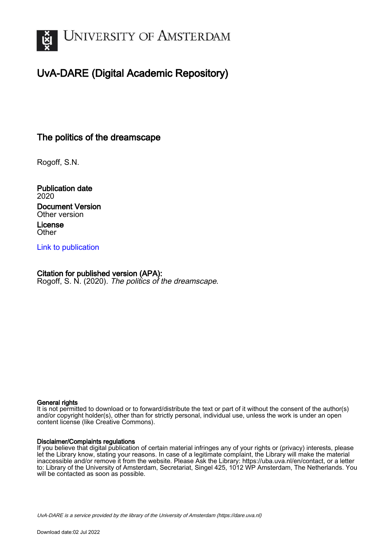

# UvA-DARE (Digital Academic Repository)

## The politics of the dreamscape

Rogoff, S.N.

Publication date 2020 Document Version Other version License

**Other** 

[Link to publication](https://dare.uva.nl/personal/pure/en/publications/the-politics-of-the-dreamscape(fa5b6ad3-1d5d-4619-9225-e187b51533d7).html)

### Citation for published version (APA):

Rogoff, S. N. (2020). The politics of the dreamscape.

#### General rights

It is not permitted to download or to forward/distribute the text or part of it without the consent of the author(s) and/or copyright holder(s), other than for strictly personal, individual use, unless the work is under an open content license (like Creative Commons).

#### Disclaimer/Complaints regulations

If you believe that digital publication of certain material infringes any of your rights or (privacy) interests, please let the Library know, stating your reasons. In case of a legitimate complaint, the Library will make the material inaccessible and/or remove it from the website. Please Ask the Library: https://uba.uva.nl/en/contact, or a letter to: Library of the University of Amsterdam, Secretariat, Singel 425, 1012 WP Amsterdam, The Netherlands. You will be contacted as soon as possible.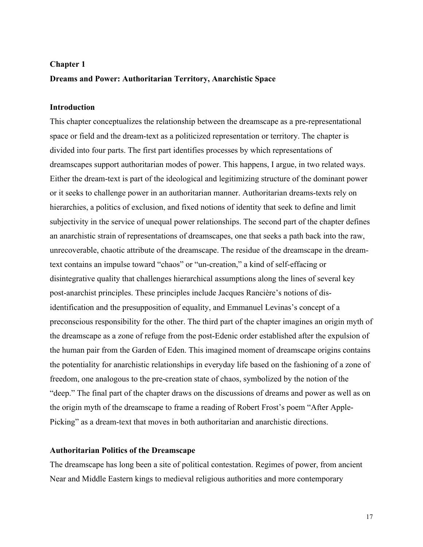## **Chapter 1 Dreams and Power: Authoritarian Territory, Anarchistic Space**

## **Introduction**

This chapter conceptualizes the relationship between the dreamscape as a pre-representational space or field and the dream-text as a politicized representation or territory. The chapter is divided into four parts. The first part identifies processes by which representations of dreamscapes support authoritarian modes of power. This happens, I argue, in two related ways. Either the dream-text is part of the ideological and legitimizing structure of the dominant power or it seeks to challenge power in an authoritarian manner. Authoritarian dreams-texts rely on hierarchies, a politics of exclusion, and fixed notions of identity that seek to define and limit subjectivity in the service of unequal power relationships. The second part of the chapter defines an anarchistic strain of representations of dreamscapes, one that seeks a path back into the raw, unrecoverable, chaotic attribute of the dreamscape. The residue of the dreamscape in the dreamtext contains an impulse toward "chaos" or "un-creation," a kind of self-effacing or disintegrative quality that challenges hierarchical assumptions along the lines of several key post-anarchist principles. These principles include Jacques Rancière's notions of disidentification and the presupposition of equality, and Emmanuel Levinas's concept of a preconscious responsibility for the other. The third part of the chapter imagines an origin myth of the dreamscape as a zone of refuge from the post-Edenic order established after the expulsion of the human pair from the Garden of Eden. This imagined moment of dreamscape origins contains the potentiality for anarchistic relationships in everyday life based on the fashioning of a zone of freedom, one analogous to the pre-creation state of chaos, symbolized by the notion of the "deep." The final part of the chapter draws on the discussions of dreams and power as well as on the origin myth of the dreamscape to frame a reading of Robert Frost's poem "After Apple-Picking" as a dream-text that moves in both authoritarian and anarchistic directions.

#### **Authoritarian Politics of the Dreamscape**

The dreamscape has long been a site of political contestation. Regimes of power, from ancient Near and Middle Eastern kings to medieval religious authorities and more contemporary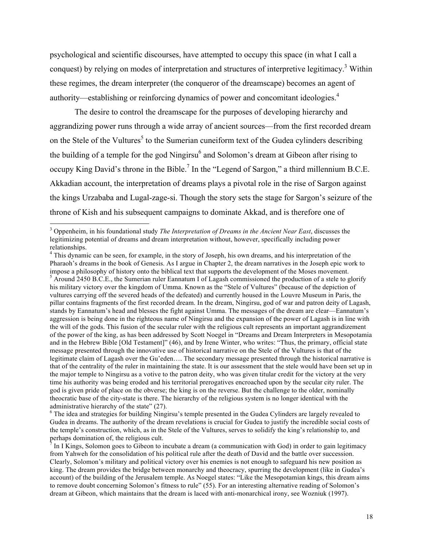psychological and scientific discourses, have attempted to occupy this space (in what I call a conquest) by relying on modes of interpretation and structures of interpretive legitimacy.3 Within these regimes, the dream interpreter (the conqueror of the dreamscape) becomes an agent of authority—establishing or reinforcing dynamics of power and concomitant ideologies.<sup>4</sup>

The desire to control the dreamscape for the purposes of developing hierarchy and aggrandizing power runs through a wide array of ancient sources—from the first recorded dream on the Stele of the Vultures<sup>5</sup> to the Sumerian cuneiform text of the Gudea cylinders describing the building of a temple for the god Ningirsu<sup>6</sup> and Solomon's dream at Gibeon after rising to occupy King David's throne in the Bible.<sup>7</sup> In the "Legend of Sargon," a third millennium B.C.E. Akkadian account, the interpretation of dreams plays a pivotal role in the rise of Sargon against the kings Urzababa and Lugal-zage-si. Though the story sets the stage for Sargon's seizure of the throne of Kish and his subsequent campaigns to dominate Akkad, and is therefore one of

 <sup>3</sup> Oppenheim, in his foundational study *The Interpretation of Dreams in the Ancient Near East*, discusses the legitimizing potential of dreams and dream interpretation without, however, specifically including power relationships.

<sup>&</sup>lt;sup>4</sup> This dynamic can be seen, for example, in the story of Joseph, his own dreams, and his interpretation of the Pharaoh's dreams in the book of Genesis. As I argue in Chapter 2, the dream narratives in the Joseph epic work to impose a philosophy of history onto the biblical text that supports the development of the Moses movement. <sup>5</sup> Around 2450 B.C.E., the Sumerian ruler Eannatum I of Lagash commissioned the production of a stele to glorify his military victory over the kingdom of Umma. Known as the "Stele of Vultures" (because of the depiction of vultures carrying off the severed heads of the defeated) and currently housed in the Louvre Museum in Paris, the pillar contains fragments of the first recorded dream. In the dream, Ningirsu, god of war and patron deity of Lagash, stands by Eannatum's head and blesses the fight against Umma. The messages of the dream are clear—Eannatum's aggression is being done in the righteous name of Ningirsu and the expansion of the power of Lagash is in line with the will of the gods. This fusion of the secular ruler with the religious cult represents an important aggrandizement of the power of the king, as has been addressed by Scott Noegel in "Dreams and Dream Interpreters in Mesopotamia and in the Hebrew Bible [Old Testament]" (46), and by Irene Winter, who writes: "Thus, the primary, official state message presented through the innovative use of historical narrative on the Stele of the Vultures is that of the legitimate claim of Lagash over the Gu'eden…. The secondary message presented through the historical narrative is that of the centrality of the ruler in maintaining the state. It is our assessment that the stele would have been set up in the major temple to Ningirsu as a votive to the patron deity, who was given titular credit for the victory at the very time his authority was being eroded and his territorial prerogatives encroached upon by the secular city ruler. The god is given pride of place on the obverse; the king is on the reverse. But the challenge to the older, nominally theocratic base of the city-state is there. The hierarchy of the religious system is no longer identical with the administrative hierarchy of the state" (27).

<sup>&</sup>lt;sup>6</sup> The idea and strategies for building Ningirsu's temple presented in the Gudea Cylinders are largely revealed to Gudea in dreams. The authority of the dream revelations is crucial for Gudea to justify the incredible social costs of the temple's construction, which, as in the Stele of the Vultures, serves to solidify the king's relationship to, and perhaps domination of, the religious cult.

In I Kings, Solomon goes to Gibeon to incubate a dream (a communication with God) in order to gain legitimacy from Yahweh for the consolidation of his political rule after the death of David and the battle over succession. Clearly, Solomon's military and political victory over his enemies is not enough to safeguard his new position as king. The dream provides the bridge between monarchy and theocracy, spurring the development (like in Gudea's account) of the building of the Jerusalem temple. As Noegel states: "Like the Mesopotamian kings, this dream aims to remove doubt concerning Solomon's fitness to rule" (55). For an interesting alternative reading of Solomon's dream at Gibeon, which maintains that the dream is laced with anti-monarchical irony, see Wozniuk (1997).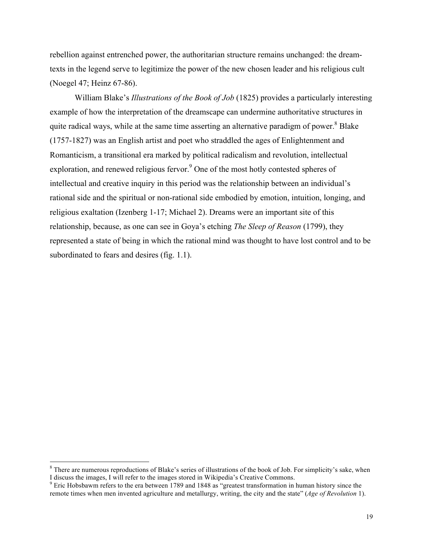rebellion against entrenched power, the authoritarian structure remains unchanged: the dreamtexts in the legend serve to legitimize the power of the new chosen leader and his religious cult (Noegel 47; Heinz 67-86).

William Blake's *Illustrations of the Book of Job* (1825) provides a particularly interesting example of how the interpretation of the dreamscape can undermine authoritative structures in quite radical ways, while at the same time asserting an alternative paradigm of power.<sup>8</sup> Blake (1757-1827) was an English artist and poet who straddled the ages of Enlightenment and Romanticism, a transitional era marked by political radicalism and revolution, intellectual exploration, and renewed religious fervor.<sup>9</sup> One of the most hotly contested spheres of intellectual and creative inquiry in this period was the relationship between an individual's rational side and the spiritual or non-rational side embodied by emotion, intuition, longing, and religious exaltation (Izenberg 1-17; Michael 2). Dreams were an important site of this relationship, because, as one can see in Goya's etching *The Sleep of Reason* (1799), they represented a state of being in which the rational mind was thought to have lost control and to be subordinated to fears and desires (fig. 1.1).

<sup>&</sup>lt;sup>8</sup> There are numerous reproductions of Blake's series of illustrations of the book of Job. For simplicity's sake, when I discuss the images, I will refer to the images stored in Wikipedia's Creative Commons.

<sup>&</sup>lt;sup>9</sup> Eric Hobsbawm refers to the era between 1789 and 1848 as "greatest transformation in human history since the remote times when men invented agriculture and metallurgy, writing, the city and the state" (*Age of Revolution* 1).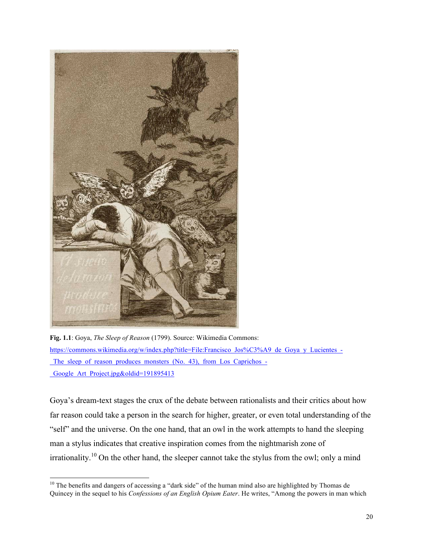

**Fig. 1.1**: Goya, *The Sleep of Reason* (1799). Source: Wikimedia Commons: https://commons.wikimedia.org/w/index.php?title=File:Francisco\_Jos%C3%A9\_de\_Goya\_y\_Lucientes\_-The sleep of reason produces monsters (No. 43), from Los Caprichos -Google Art Project.jpg&oldid=191895413

Goya's dream-text stages the crux of the debate between rationalists and their critics about how far reason could take a person in the search for higher, greater, or even total understanding of the "self" and the universe. On the one hand, that an owl in the work attempts to hand the sleeping man a stylus indicates that creative inspiration comes from the nightmarish zone of irrationality.<sup>10</sup> On the other hand, the sleeper cannot take the stylus from the owl; only a mind

<sup>&</sup>lt;sup>10</sup> The benefits and dangers of accessing a "dark side" of the human mind also are highlighted by Thomas de Quincey in the sequel to his *Confessions of an English Opium Eater*. He writes, "Among the powers in man which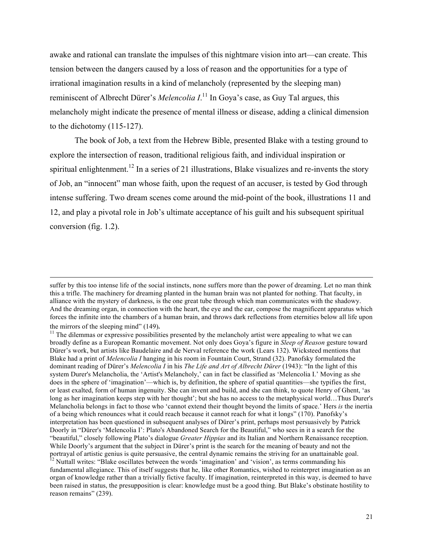awake and rational can translate the impulses of this nightmare vision into art—can create. This tension between the dangers caused by a loss of reason and the opportunities for a type of irrational imagination results in a kind of melancholy (represented by the sleeping man) reminiscent of Albrecht Dürer's *Melencolia I*.<sup>11</sup> In Goya's case, as Guy Tal argues, this melancholy might indicate the presence of mental illness or disease, adding a clinical dimension to the dichotomy (115-127).

The book of Job, a text from the Hebrew Bible, presented Blake with a testing ground to explore the intersection of reason, traditional religious faith, and individual inspiration or spiritual enlightenment.<sup>12</sup> In a series of 21 illustrations, Blake visualizes and re-invents the story of Job, an "innocent" man whose faith, upon the request of an accuser, is tested by God through intense suffering. Two dream scenes come around the mid-point of the book, illustrations 11 and 12, and play a pivotal role in Job's ultimate acceptance of his guilt and his subsequent spiritual conversion (fig. 1.2).

<u> 1989 - Andrea San Andrea San Andrea San Andrea San Andrea San Andrea San Andrea San Andrea San Andrea San An</u>

suffer by this too intense life of the social instincts, none suffers more than the power of dreaming. Let no man think this a trifle. The machinery for dreaming planted in the human brain was not planted for nothing. That faculty, in alliance with the mystery of darkness, is the one great tube through which man communicates with the shadowy. And the dreaming organ, in connection with the heart, the eye and the ear, compose the magnificent apparatus which forces the infinite into the chambers of a human brain, and throws dark reflections from eternities below all life upon

the mirrors of the sleeping mind" (149).<br><sup>11</sup> The dilemmas or expressive possibilities presented by the melancholy artist were appealing to what we can broadly define as a European Romantic movement. Not only does Goya's figure in *Sleep of Reason* gesture toward Dürer's work, but artists like Baudelaire and de Nerval reference the work (Lears 132). Wicksteed mentions that Blake had a print of *Melencolia I* hanging in his room in Fountain Court, Strand (32). Panofsky formulated the dominant reading of Dürer's *Melencolia I* in his *The Life and Art of Albrecht Dürer* (1943): "In the light of this system Durer's Melancholia, the 'Artist's Melancholy,' can in fact be classified as 'Melencolia I.' Moving as she does in the sphere of 'imagination'—which is, by definition, the sphere of spatial quantities—she typifies the first, or least exalted, form of human ingenuity. She can invent and build, and she can think, to quote Henry of Ghent, 'as long as her imagination keeps step with her thought'; but she has no access to the metaphysical world…Thus Durer's Melancholia belongs in fact to those who 'cannot extend their thought beyond the limits of space.' Hers *is* the inertia of a being which renounces what it could reach because it cannot reach for what it longs" (170). Panofsky's interpretation has been questioned in subsequent analyses of Dürer's print, perhaps most persuasively by Patrick Doorly in "Dürer's 'Melencolia I': Plato's Abandoned Search for the Beautiful," who sees in it a search for the "beautiful," closely following Plato's dialogue *Greater Hippias* and its Italian and Northern Renaissance reception. While Doorly's argument that the subject in Dürer's print is the search for the meaning of beauty and not the portrayal of artistic genius is quite persuasive, the central dynamic remains the striving for an unattainable goal.<br><sup>12</sup> Nuttall writes: "Blake oscillates between the words 'imagination' and 'vision', as terms commanding fundamental allegiance. This of itself suggests that he, like other Romantics, wished to reinterpret imagination as an organ of knowledge rather than a trivially fictive faculty. If imagination, reinterpreted in this way, is deemed to have been raised in status, the presupposition is clear: knowledge must be a good thing. But Blake's obstinate hostility to reason remains" (239).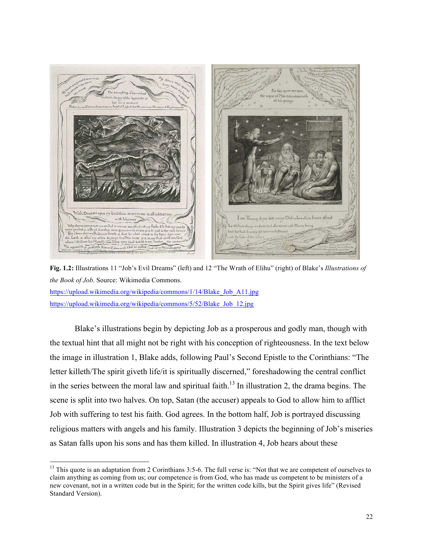

**Fig. 1.2:** Illustrations 11 "Job's Evil Dreams" (left) and 12 "The Wrath of Elihu" (right) of Blake's *Illustrations of the Book of Job*. Source: Wikimedia Commons.

https://upload.wikimedia.org/wikipedia/commons/1/14/Blake\_Job\_A11.jpg https://upload.wikimedia.org/wikipedia/commons/5/52/Blake\_Job\_12.jpg

Blake's illustrations begin by depicting Job as a prosperous and godly man, though with the textual hint that all might not be right with his conception of righteousness. In the text below the image in illustration 1, Blake adds, following Paul's Second Epistle to the Corinthians: "The letter killeth/The spirit giveth life/it is spiritually discerned," foreshadowing the central conflict in the series between the moral law and spiritual faith.<sup>13</sup> In illustration 2, the drama begins. The scene is split into two halves. On top, Satan (the accuser) appeals to God to allow him to afflict Job with suffering to test his faith. God agrees. In the bottom half, Job is portrayed discussing religious matters with angels and his family. Illustration 3 depicts the beginning of Job's miseries as Satan falls upon his sons and has them killed. In illustration 4, Job hears about these

 $13$  This quote is an adaptation from 2 Corinthians 3:5-6. The full verse is: "Not that we are competent of ourselves to claim anything as coming from us; our competence is from God, who has made us competent to be ministers of a new covenant, not in a written code but in the Spirit; for the written code kills, but the Spirit gives life" (Revised Standard Version).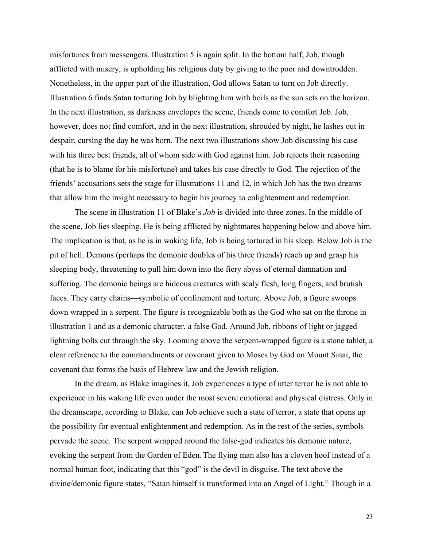misfortunes from messengers. Illustration 5 is again split. In the bottom half, Job, though afflicted with misery, is upholding his religious duty by giving to the poor and downtrodden. Nonetheless, in the upper part of the illustration, God allows Satan to turn on Job directly. Illustration 6 finds Satan torturing Job by blighting him with boils as the sun sets on the horizon. In the next illustration, as darkness envelopes the scene, friends come to comfort Job. Job, however, does not find comfort, and in the next illustration, shrouded by night, he lashes out in despair, cursing the day he was born. The next two illustrations show Job discussing his case with his three best friends, all of whom side with God against him. Job rejects their reasoning (that he is to blame for his misfortune) and takes his case directly to God. The rejection of the friends' accusations sets the stage for illustrations 11 and 12, in which Job has the two dreams that allow him the insight necessary to begin his journey to enlightenment and redemption.

The scene in illustration 11 of Blake's *Job* is divided into three zones. In the middle of the scene, Job lies sleeping. He is being afflicted by nightmares happening below and above him. The implication is that, as he is in waking life, Job is being tortured in his sleep. Below Job is the pit of hell. Demons (perhaps the demonic doubles of his three friends) reach up and grasp his sleeping body, threatening to pull him down into the fiery abyss of eternal damnation and suffering. The demonic beings are hideous creatures with scaly flesh, long fingers, and brutish faces. They carry chains—symbolic of confinement and torture. Above Job, a figure swoops down wrapped in a serpent. The figure is recognizable both as the God who sat on the throne in illustration 1 and as a demonic character, a false God. Around Job, ribbons of light or jagged lightning bolts cut through the sky. Looming above the serpent-wrapped figure is a stone tablet, a clear reference to the commandments or covenant given to Moses by God on Mount Sinai, the covenant that forms the basis of Hebrew law and the Jewish religion.

In the dream, as Blake imagines it, Job experiences a type of utter terror he is not able to experience in his waking life even under the most severe emotional and physical distress. Only in the dreamscape, according to Blake, can Job achieve such a state of terror, a state that opens up the possibility for eventual enlightenment and redemption. As in the rest of the series, symbols pervade the scene. The serpent wrapped around the false-god indicates his demonic nature, evoking the serpent from the Garden of Eden.The flying man also has a cloven hoof instead of a normal human foot, indicating that this "god" is the devil in disguise. The text above the divine/demonic figure states, "Satan himself is transformed into an Angel of Light." Though in a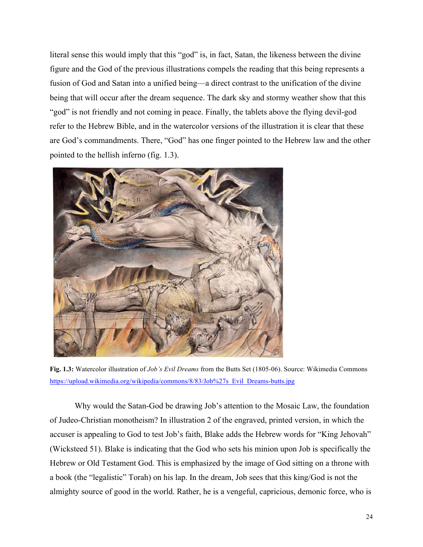literal sense this would imply that this "god" is, in fact, Satan, the likeness between the divine figure and the God of the previous illustrations compels the reading that this being represents a fusion of God and Satan into a unified being—a direct contrast to the unification of the divine being that will occur after the dream sequence. The dark sky and stormy weather show that this "god" is not friendly and not coming in peace. Finally, the tablets above the flying devil-god refer to the Hebrew Bible, and in the watercolor versions of the illustration it is clear that these are God's commandments. There, "God" has one finger pointed to the Hebrew law and the other pointed to the hellish inferno (fig. 1.3).



**Fig. 1.3:** Watercolor illustration of *Job's Evil Dreams* from the Butts Set (1805-06). Source: Wikimedia Commons https://upload.wikimedia.org/wikipedia/commons/8/83/Job%27s\_Evil\_Dreams-butts.jpg

Why would the Satan-God be drawing Job's attention to the Mosaic Law, the foundation of Judeo-Christian monotheism? In illustration 2 of the engraved, printed version, in which the accuser is appealing to God to test Job's faith, Blake adds the Hebrew words for "King Jehovah" (Wicksteed 51). Blake is indicating that the God who sets his minion upon Job is specifically the Hebrew or Old Testament God. This is emphasized by the image of God sitting on a throne with a book (the "legalistic" Torah) on his lap. In the dream, Job sees that this king/God is not the almighty source of good in the world. Rather, he is a vengeful, capricious, demonic force, who is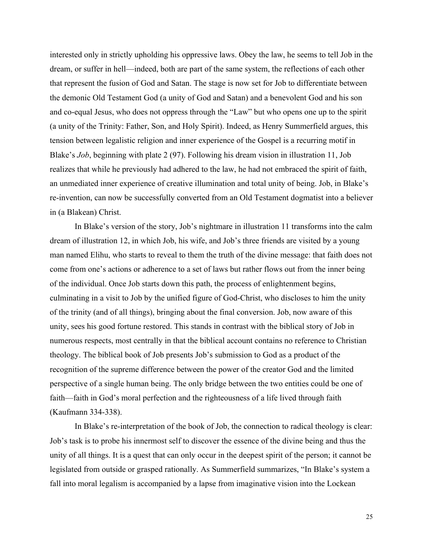interested only in strictly upholding his oppressive laws. Obey the law, he seems to tell Job in the dream, or suffer in hell—indeed, both are part of the same system, the reflections of each other that represent the fusion of God and Satan. The stage is now set for Job to differentiate between the demonic Old Testament God (a unity of God and Satan) and a benevolent God and his son and co-equal Jesus, who does not oppress through the "Law" but who opens one up to the spirit (a unity of the Trinity: Father, Son, and Holy Spirit). Indeed, as Henry Summerfield argues, this tension between legalistic religion and inner experience of the Gospel is a recurring motif in Blake's *Job*, beginning with plate 2 (97). Following his dream vision in illustration 11, Job realizes that while he previously had adhered to the law, he had not embraced the spirit of faith, an unmediated inner experience of creative illumination and total unity of being. Job, in Blake's re-invention, can now be successfully converted from an Old Testament dogmatist into a believer in (a Blakean) Christ.

In Blake's version of the story, Job's nightmare in illustration 11 transforms into the calm dream of illustration 12, in which Job, his wife, and Job's three friends are visited by a young man named Elihu, who starts to reveal to them the truth of the divine message: that faith does not come from one's actions or adherence to a set of laws but rather flows out from the inner being of the individual. Once Job starts down this path, the process of enlightenment begins, culminating in a visit to Job by the unified figure of God-Christ, who discloses to him the unity of the trinity (and of all things), bringing about the final conversion. Job, now aware of this unity, sees his good fortune restored. This stands in contrast with the biblical story of Job in numerous respects, most centrally in that the biblical account contains no reference to Christian theology. The biblical book of Job presents Job's submission to God as a product of the recognition of the supreme difference between the power of the creator God and the limited perspective of a single human being. The only bridge between the two entities could be one of faith—faith in God's moral perfection and the righteousness of a life lived through faith (Kaufmann 334-338).

In Blake's re-interpretation of the book of Job, the connection to radical theology is clear: Job's task is to probe his innermost self to discover the essence of the divine being and thus the unity of all things. It is a quest that can only occur in the deepest spirit of the person; it cannot be legislated from outside or grasped rationally. As Summerfield summarizes, "In Blake's system a fall into moral legalism is accompanied by a lapse from imaginative vision into the Lockean

25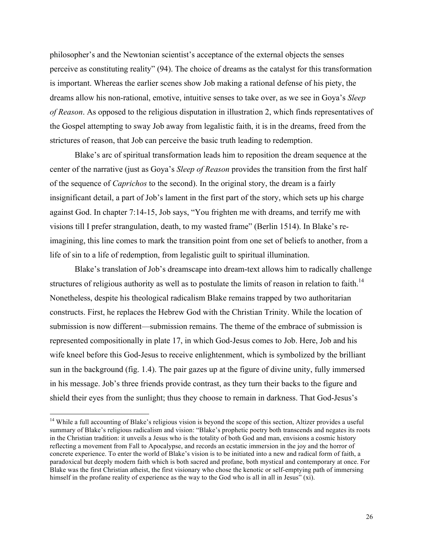philosopher's and the Newtonian scientist's acceptance of the external objects the senses perceive as constituting reality" (94). The choice of dreams as the catalyst for this transformation is important. Whereas the earlier scenes show Job making a rational defense of his piety, the dreams allow his non-rational, emotive, intuitive senses to take over, as we see in Goya's *Sleep of Reason*. As opposed to the religious disputation in illustration 2, which finds representatives of the Gospel attempting to sway Job away from legalistic faith, it is in the dreams, freed from the strictures of reason, that Job can perceive the basic truth leading to redemption.

Blake's arc of spiritual transformation leads him to reposition the dream sequence at the center of the narrative (just as Goya's *Sleep of Reason* provides the transition from the first half of the sequence of *Caprichos* to the second). In the original story, the dream is a fairly insignificant detail, a part of Job's lament in the first part of the story, which sets up his charge against God. In chapter 7:14-15, Job says, "You frighten me with dreams, and terrify me with visions till I prefer strangulation, death, to my wasted frame" (Berlin 1514). In Blake's reimagining, this line comes to mark the transition point from one set of beliefs to another, from a life of sin to a life of redemption, from legalistic guilt to spiritual illumination.

Blake's translation of Job's dreamscape into dream-text allows him to radically challenge structures of religious authority as well as to postulate the limits of reason in relation to faith.<sup>14</sup> Nonetheless, despite his theological radicalism Blake remains trapped by two authoritarian constructs. First, he replaces the Hebrew God with the Christian Trinity. While the location of submission is now different—submission remains. The theme of the embrace of submission is represented compositionally in plate 17, in which God-Jesus comes to Job. Here, Job and his wife kneel before this God-Jesus to receive enlightenment, which is symbolized by the brilliant sun in the background (fig. 1.4). The pair gazes up at the figure of divine unity, fully immersed in his message. Job's three friends provide contrast, as they turn their backs to the figure and shield their eyes from the sunlight; thus they choose to remain in darkness. That God-Jesus's

<sup>&</sup>lt;sup>14</sup> While a full accounting of Blake's religious vision is beyond the scope of this section, Altizer provides a useful summary of Blake's religious radicalism and vision: "Blake's prophetic poetry both transcends and negates its roots in the Christian tradition: it unveils a Jesus who is the totality of both God and man, envisions a cosmic history reflecting a movement from Fall to Apocalypse, and records an ecstatic immersion in the joy and the horror of concrete experience. To enter the world of Blake's vision is to be initiated into a new and radical form of faith, a paradoxical but deeply modern faith which is both sacred and profane, both mystical and contemporary at once. For Blake was the first Christian atheist, the first visionary who chose the kenotic or self-emptying path of immersing himself in the profane reality of experience as the way to the God who is all in all in Jesus" (xi).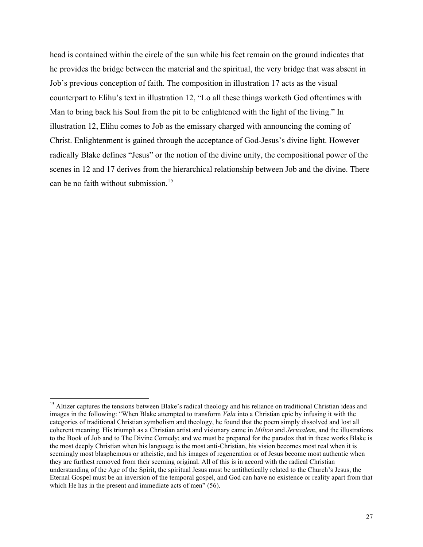head is contained within the circle of the sun while his feet remain on the ground indicates that he provides the bridge between the material and the spiritual, the very bridge that was absent in Job's previous conception of faith. The composition in illustration 17 acts as the visual counterpart to Elihu's text in illustration 12, "Lo all these things worketh God oftentimes with Man to bring back his Soul from the pit to be enlightened with the light of the living." In illustration 12, Elihu comes to Job as the emissary charged with announcing the coming of Christ. Enlightenment is gained through the acceptance of God-Jesus's divine light. However radically Blake defines "Jesus" or the notion of the divine unity, the compositional power of the scenes in 12 and 17 derives from the hierarchical relationship between Job and the divine. There can be no faith without submission.<sup>15</sup>

<sup>&</sup>lt;sup>15</sup> Altizer captures the tensions between Blake's radical theology and his reliance on traditional Christian ideas and images in the following: "When Blake attempted to transform *Vala* into a Christian epic by infusing it with the categories of traditional Christian symbolism and theology, he found that the poem simply dissolved and lost all coherent meaning. His triumph as a Christian artist and visionary came in *Milton* and *Jerusalem*, and the illustrations to the Book of Job and to The Divine Comedy; and we must be prepared for the paradox that in these works Blake is the most deeply Christian when his language is the most anti-Christian, his vision becomes most real when it is seemingly most blasphemous or atheistic, and his images of regeneration or of Jesus become most authentic when they are furthest removed from their seeming original. All of this is in accord with the radical Christian understanding of the Age of the Spirit, the spiritual Jesus must be antithetically related to the Church's Jesus, the Eternal Gospel must be an inversion of the temporal gospel, and God can have no existence or reality apart from that which He has in the present and immediate acts of men" (56).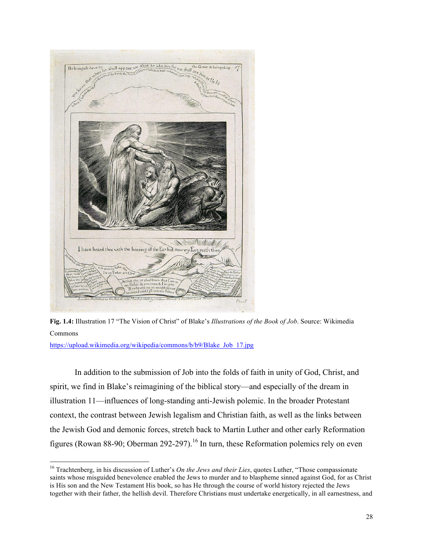



https://upload.wikimedia.org/wikipedia/commons/b/b9/Blake\_Job\_17.jpg

In addition to the submission of Job into the folds of faith in unity of God, Christ, and spirit, we find in Blake's reimagining of the biblical story—and especially of the dream in illustration 11—influences of long-standing anti-Jewish polemic. In the broader Protestant context, the contrast between Jewish legalism and Christian faith, as well as the links between the Jewish God and demonic forces, stretch back to Martin Luther and other early Reformation figures (Rowan 88-90; Oberman 292-297).<sup>16</sup> In turn, these Reformation polemics rely on even

<sup>&</sup>lt;sup>16</sup> Trachtenberg, in his discussion of Luther's *On the Jews and their Lies*, quotes Luther, "Those compassionate saints whose misguided benevolence enabled the Jews to murder and to blaspheme sinned against God, for as Christ is His son and the New Testament His book, so has He through the course of world history rejected the Jews together with their father, the hellish devil. Therefore Christians must undertake energetically, in all earnestness, and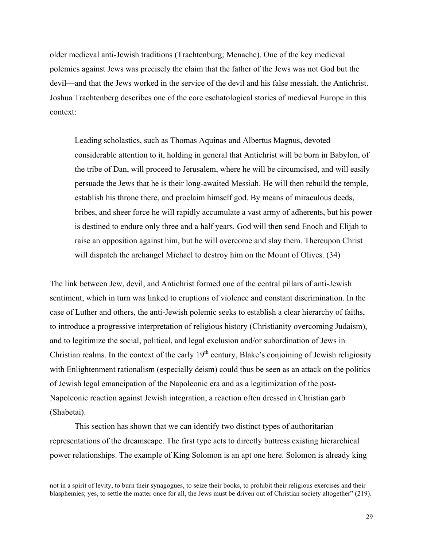older medieval anti-Jewish traditions (Trachtenburg; Menache). One of the key medieval polemics against Jews was precisely the claim that the father of the Jews was not God but the devil—and that the Jews worked in the service of the devil and his false messiah, the Antichrist. Joshua Trachtenberg describes one of the core eschatological stories of medieval Europe in this context:

Leading scholastics, such as Thomas Aquinas and Albertus Magnus, devoted considerable attention to it, holding in general that Antichrist will be born in Babylon, of the tribe of Dan, will proceed to Jerusalem, where he will be circumcised, and will easily persuade the Jews that he is their long-awaited Messiah. He will then rebuild the temple, establish his throne there, and proclaim himself god. By means of miraculous deeds, bribes, and sheer force he will rapidly accumulate a vast army of adherents, but his power is destined to endure only three and a half years. God will then send Enoch and Elijah to raise an opposition against him, but he will overcome and slay them. Thereupon Christ will dispatch the archangel Michael to destroy him on the Mount of Olives. (34)

The link between Jew, devil, and Antichrist formed one of the central pillars of anti-Jewish sentiment, which in turn was linked to eruptions of violence and constant discrimination. In the case of Luther and others, the anti-Jewish polemic seeks to establish a clear hierarchy of faiths, to introduce a progressive interpretation of religious history (Christianity overcoming Judaism), and to legitimize the social, political, and legal exclusion and/or subordination of Jews in Christian realms. In the context of the early  $19<sup>th</sup>$  century, Blake's conjoining of Jewish religiosity with Enlightenment rationalism (especially deism) could thus be seen as an attack on the politics of Jewish legal emancipation of the Napoleonic era and as a legitimization of the post-Napoleonic reaction against Jewish integration, a reaction often dressed in Christian garb (Shabetai).

This section has shown that we can identify two distinct types of authoritarian representations of the dreamscape. The first type acts to directly buttress existing hierarchical power relationships. The example of King Solomon is an apt one here. Solomon is already king

<sup>&</sup>lt;u> 1989 - Andrea San Andrea San Andrea San Andrea San Andrea San Andrea San Andrea San Andrea San Andrea San An</u> not in a spirit of levity, to burn their synagogues, to seize their books, to prohibit their religious exercises and their blasphemies; yes, to settle the matter once for all, the Jews must be driven out of Christian society altogether" (219).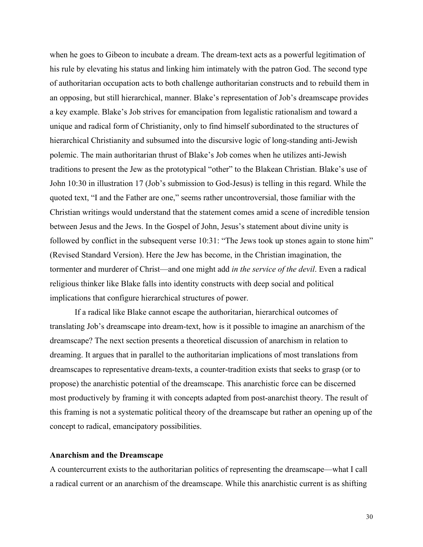when he goes to Gibeon to incubate a dream. The dream-text acts as a powerful legitimation of his rule by elevating his status and linking him intimately with the patron God. The second type of authoritarian occupation acts to both challenge authoritarian constructs and to rebuild them in an opposing, but still hierarchical, manner. Blake's representation of Job's dreamscape provides a key example. Blake's Job strives for emancipation from legalistic rationalism and toward a unique and radical form of Christianity, only to find himself subordinated to the structures of hierarchical Christianity and subsumed into the discursive logic of long-standing anti-Jewish polemic. The main authoritarian thrust of Blake's Job comes when he utilizes anti-Jewish traditions to present the Jew as the prototypical "other" to the Blakean Christian. Blake's use of John 10:30 in illustration 17 (Job's submission to God-Jesus) is telling in this regard. While the quoted text, "I and the Father are one," seems rather uncontroversial, those familiar with the Christian writings would understand that the statement comes amid a scene of incredible tension between Jesus and the Jews. In the Gospel of John, Jesus's statement about divine unity is followed by conflict in the subsequent verse 10:31: "The Jews took up stones again to stone him" (Revised Standard Version). Here the Jew has become, in the Christian imagination, the tormenter and murderer of Christ—and one might add *in the service of the devil*. Even a radical religious thinker like Blake falls into identity constructs with deep social and political implications that configure hierarchical structures of power.

If a radical like Blake cannot escape the authoritarian, hierarchical outcomes of translating Job's dreamscape into dream-text, how is it possible to imagine an anarchism of the dreamscape? The next section presents a theoretical discussion of anarchism in relation to dreaming. It argues that in parallel to the authoritarian implications of most translations from dreamscapes to representative dream-texts, a counter-tradition exists that seeks to grasp (or to propose) the anarchistic potential of the dreamscape. This anarchistic force can be discerned most productively by framing it with concepts adapted from post-anarchist theory. The result of this framing is not a systematic political theory of the dreamscape but rather an opening up of the concept to radical, emancipatory possibilities.

## **Anarchism and the Dreamscape**

A countercurrent exists to the authoritarian politics of representing the dreamscape—what I call a radical current or an anarchism of the dreamscape. While this anarchistic current is as shifting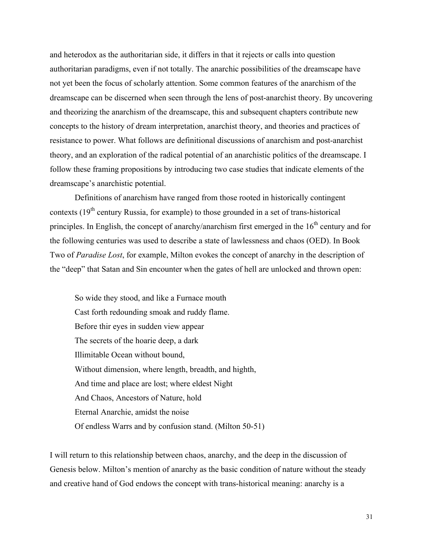and heterodox as the authoritarian side, it differs in that it rejects or calls into question authoritarian paradigms, even if not totally. The anarchic possibilities of the dreamscape have not yet been the focus of scholarly attention. Some common features of the anarchism of the dreamscape can be discerned when seen through the lens of post-anarchist theory. By uncovering and theorizing the anarchism of the dreamscape, this and subsequent chapters contribute new concepts to the history of dream interpretation, anarchist theory, and theories and practices of resistance to power. What follows are definitional discussions of anarchism and post-anarchist theory, and an exploration of the radical potential of an anarchistic politics of the dreamscape. I follow these framing propositions by introducing two case studies that indicate elements of the dreamscape's anarchistic potential.

Definitions of anarchism have ranged from those rooted in historically contingent contexts  $(19<sup>th</sup>$  century Russia, for example) to those grounded in a set of trans-historical principles. In English, the concept of anarchy/anarchism first emerged in the  $16<sup>th</sup>$  century and for the following centuries was used to describe a state of lawlessness and chaos (OED). In Book Two of *Paradise Lost*, for example, Milton evokes the concept of anarchy in the description of the "deep" that Satan and Sin encounter when the gates of hell are unlocked and thrown open:

So wide they stood, and like a Furnace mouth Cast forth redounding smoak and ruddy flame. Before thir eyes in sudden view appear The secrets of the hoarie deep, a dark Illimitable Ocean without bound, Without dimension, where length, breadth, and highth, And time and place are lost; where eldest Night And Chaos, Ancestors of Nature, hold Eternal Anarchie, amidst the noise Of endless Warrs and by confusion stand. (Milton 50-51)

I will return to this relationship between chaos, anarchy, and the deep in the discussion of Genesis below. Milton's mention of anarchy as the basic condition of nature without the steady and creative hand of God endows the concept with trans-historical meaning: anarchy is a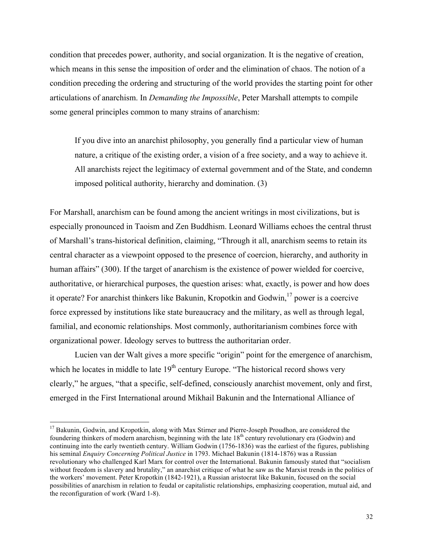condition that precedes power, authority, and social organization. It is the negative of creation, which means in this sense the imposition of order and the elimination of chaos. The notion of a condition preceding the ordering and structuring of the world provides the starting point for other articulations of anarchism. In *Demanding the Impossible*, Peter Marshall attempts to compile some general principles common to many strains of anarchism:

If you dive into an anarchist philosophy, you generally find a particular view of human nature, a critique of the existing order, a vision of a free society, and a way to achieve it. All anarchists reject the legitimacy of external government and of the State, and condemn imposed political authority, hierarchy and domination. (3)

For Marshall, anarchism can be found among the ancient writings in most civilizations, but is especially pronounced in Taoism and Zen Buddhism. Leonard Williams echoes the central thrust of Marshall's trans-historical definition, claiming, "Through it all, anarchism seems to retain its central character as a viewpoint opposed to the presence of coercion, hierarchy, and authority in human affairs" (300). If the target of anarchism is the existence of power wielded for coercive, authoritative, or hierarchical purposes, the question arises: what, exactly, is power and how does it operate? For anarchist thinkers like Bakunin, Kropotkin and Godwin, $^{17}$  power is a coercive force expressed by institutions like state bureaucracy and the military, as well as through legal, familial, and economic relationships. Most commonly, authoritarianism combines force with organizational power. Ideology serves to buttress the authoritarian order.

Lucien van der Walt gives a more specific "origin" point for the emergence of anarchism, which he locates in middle to late  $19<sup>th</sup>$  century Europe. "The historical record shows very clearly," he argues, "that a specific, self-defined, consciously anarchist movement, only and first, emerged in the First International around Mikhail Bakunin and the International Alliance of

<sup>&</sup>lt;sup>17</sup> Bakunin, Godwin, and Kropotkin, along with Max Stirner and Pierre-Joseph Proudhon, are considered the foundering thinkers of modern anarchism, beginning with the late 18<sup>th</sup> century revolutionary era (Godwin) and continuing into the early twentieth century. William Godwin (1756-1836) was the earliest of the figures, publishing his seminal *Enquiry Concerning Political Justice* in 1793. Michael Bakunin (1814-1876) was a Russian revolutionary who challenged Karl Marx for control over the International. Bakunin famously stated that "socialism without freedom is slavery and brutality," an anarchist critique of what he saw as the Marxist trends in the politics of the workers' movement. Peter Kropotkin (1842-1921), a Russian aristocrat like Bakunin, focused on the social possibilities of anarchism in relation to feudal or capitalistic relationships, emphasizing cooperation, mutual aid, and the reconfiguration of work (Ward 1-8).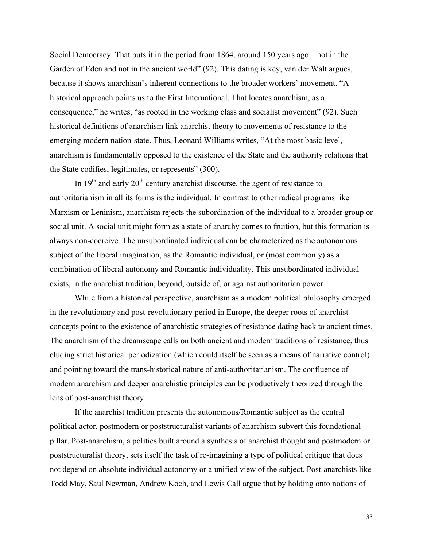Social Democracy. That puts it in the period from 1864, around 150 years ago—not in the Garden of Eden and not in the ancient world" (92). This dating is key, van der Walt argues, because it shows anarchism's inherent connections to the broader workers' movement. "A historical approach points us to the First International. That locates anarchism, as a consequence," he writes, "as rooted in the working class and socialist movement" (92). Such historical definitions of anarchism link anarchist theory to movements of resistance to the emerging modern nation-state. Thus, Leonard Williams writes, "At the most basic level, anarchism is fundamentally opposed to the existence of the State and the authority relations that the State codifies, legitimates, or represents" (300).

In  $19<sup>th</sup>$  and early  $20<sup>th</sup>$  century anarchist discourse, the agent of resistance to authoritarianism in all its forms is the individual. In contrast to other radical programs like Marxism or Leninism, anarchism rejects the subordination of the individual to a broader group or social unit. A social unit might form as a state of anarchy comes to fruition, but this formation is always non-coercive. The unsubordinated individual can be characterized as the autonomous subject of the liberal imagination, as the Romantic individual, or (most commonly) as a combination of liberal autonomy and Romantic individuality. This unsubordinated individual exists, in the anarchist tradition, beyond, outside of, or against authoritarian power.

While from a historical perspective, anarchism as a modern political philosophy emerged in the revolutionary and post-revolutionary period in Europe, the deeper roots of anarchist concepts point to the existence of anarchistic strategies of resistance dating back to ancient times. The anarchism of the dreamscape calls on both ancient and modern traditions of resistance, thus eluding strict historical periodization (which could itself be seen as a means of narrative control) and pointing toward the trans-historical nature of anti-authoritarianism. The confluence of modern anarchism and deeper anarchistic principles can be productively theorized through the lens of post-anarchist theory.

If the anarchist tradition presents the autonomous/Romantic subject as the central political actor, postmodern or poststructuralist variants of anarchism subvert this foundational pillar. Post-anarchism, a politics built around a synthesis of anarchist thought and postmodern or poststructuralist theory, sets itself the task of re-imagining a type of political critique that does not depend on absolute individual autonomy or a unified view of the subject. Post-anarchists like Todd May, Saul Newman, Andrew Koch, and Lewis Call argue that by holding onto notions of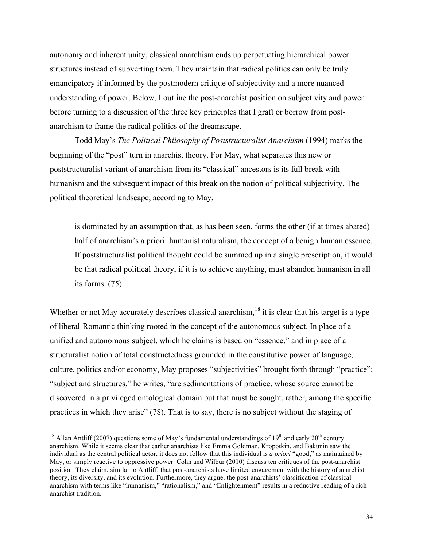autonomy and inherent unity, classical anarchism ends up perpetuating hierarchical power structures instead of subverting them. They maintain that radical politics can only be truly emancipatory if informed by the postmodern critique of subjectivity and a more nuanced understanding of power. Below, I outline the post-anarchist position on subjectivity and power before turning to a discussion of the three key principles that I graft or borrow from postanarchism to frame the radical politics of the dreamscape.

Todd May's *The Political Philosophy of Poststructuralist Anarchism* (1994) marks the beginning of the "post" turn in anarchist theory. For May, what separates this new or poststructuralist variant of anarchism from its "classical" ancestors is its full break with humanism and the subsequent impact of this break on the notion of political subjectivity. The political theoretical landscape, according to May,

is dominated by an assumption that, as has been seen, forms the other (if at times abated) half of anarchism's a priori: humanist naturalism, the concept of a benign human essence. If poststructuralist political thought could be summed up in a single prescription, it would be that radical political theory, if it is to achieve anything, must abandon humanism in all its forms. (75)

Whether or not May accurately describes classical anarchism,<sup>18</sup> it is clear that his target is a type of liberal-Romantic thinking rooted in the concept of the autonomous subject. In place of a unified and autonomous subject, which he claims is based on "essence," and in place of a structuralist notion of total constructedness grounded in the constitutive power of language, culture, politics and/or economy, May proposes "subjectivities" brought forth through "practice"; "subject and structures," he writes, "are sedimentations of practice, whose source cannot be discovered in a privileged ontological domain but that must be sought, rather, among the specific practices in which they arise" (78). That is to say, there is no subject without the staging of

<sup>&</sup>lt;sup>18</sup> Allan Antliff (2007) questions some of May's fundamental understandings of 19<sup>th</sup> and early 20<sup>th</sup> century anarchism. While it seems clear that earlier anarchists like Emma Goldman, Kropotkin, and Bakunin saw the individual as the central political actor, it does not follow that this individual is *a priori* "good," as maintained by May, or simply reactive to oppressive power. Cohn and Wilbur (2010) discuss ten critiques of the post-anarchist position. They claim, similar to Antliff, that post-anarchists have limited engagement with the history of anarchist theory, its diversity, and its evolution. Furthermore, they argue, the post-anarchists' classification of classical anarchism with terms like "humanism," "rationalism," and "Enlightenment" results in a reductive reading of a rich anarchist tradition.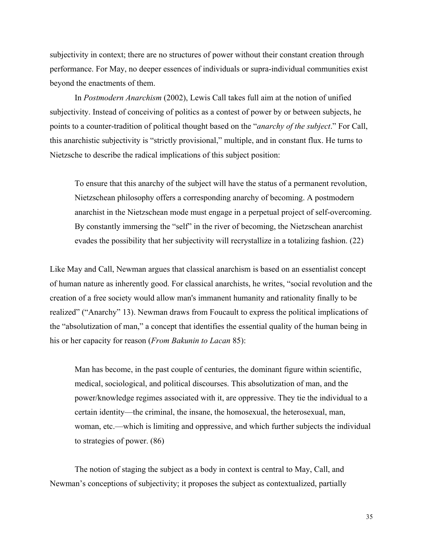subjectivity in context; there are no structures of power without their constant creation through performance. For May, no deeper essences of individuals or supra-individual communities exist beyond the enactments of them.

In *Postmodern Anarchism* (2002), Lewis Call takes full aim at the notion of unified subjectivity. Instead of conceiving of politics as a contest of power by or between subjects, he points to a counter-tradition of political thought based on the "*anarchy of the subject*." For Call, this anarchistic subjectivity is "strictly provisional," multiple, and in constant flux. He turns to Nietzsche to describe the radical implications of this subject position:

To ensure that this anarchy of the subject will have the status of a permanent revolution, Nietzschean philosophy offers a corresponding anarchy of becoming. A postmodern anarchist in the Nietzschean mode must engage in a perpetual project of self-overcoming. By constantly immersing the "self" in the river of becoming, the Nietzschean anarchist evades the possibility that her subjectivity will recrystallize in a totalizing fashion. (22)

Like May and Call, Newman argues that classical anarchism is based on an essentialist concept of human nature as inherently good. For classical anarchists, he writes, "social revolution and the creation of a free society would allow man's immanent humanity and rationality finally to be realized" ("Anarchy" 13). Newman draws from Foucault to express the political implications of the "absolutization of man," a concept that identifies the essential quality of the human being in his or her capacity for reason (*From Bakunin to Lacan* 85):

Man has become, in the past couple of centuries, the dominant figure within scientific, medical, sociological, and political discourses. This absolutization of man, and the power/knowledge regimes associated with it, are oppressive. They tie the individual to a certain identity—the criminal, the insane, the homosexual, the heterosexual, man, woman, etc.—which is limiting and oppressive, and which further subjects the individual to strategies of power. (86)

The notion of staging the subject as a body in context is central to May, Call, and Newman's conceptions of subjectivity; it proposes the subject as contextualized, partially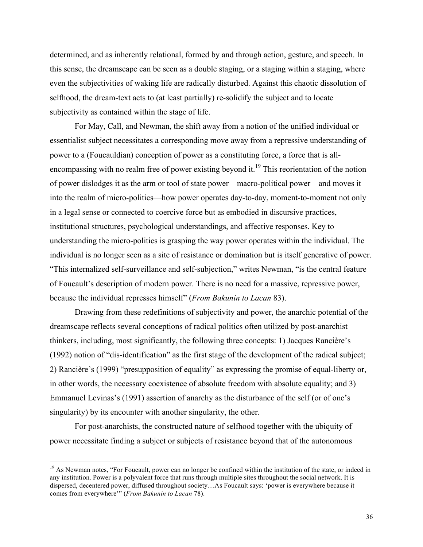determined, and as inherently relational, formed by and through action, gesture, and speech. In this sense, the dreamscape can be seen as a double staging, or a staging within a staging, where even the subjectivities of waking life are radically disturbed. Against this chaotic dissolution of selfhood, the dream-text acts to (at least partially) re-solidify the subject and to locate subjectivity as contained within the stage of life.

For May, Call, and Newman, the shift away from a notion of the unified individual or essentialist subject necessitates a corresponding move away from a repressive understanding of power to a (Foucauldian) conception of power as a constituting force, a force that is allencompassing with no realm free of power existing beyond it.<sup>19</sup> This reorientation of the notion of power dislodges it as the arm or tool of state power—macro-political power—and moves it into the realm of micro-politics—how power operates day-to-day, moment-to-moment not only in a legal sense or connected to coercive force but as embodied in discursive practices, institutional structures, psychological understandings, and affective responses. Key to understanding the micro-politics is grasping the way power operates within the individual. The individual is no longer seen as a site of resistance or domination but is itself generative of power. "This internalized self-surveillance and self-subjection," writes Newman, "is the central feature of Foucault's description of modern power. There is no need for a massive, repressive power, because the individual represses himself" (*From Bakunin to Lacan* 83).

Drawing from these redefinitions of subjectivity and power, the anarchic potential of the dreamscape reflects several conceptions of radical politics often utilized by post-anarchist thinkers, including, most significantly, the following three concepts: 1) Jacques Rancière's (1992) notion of "dis-identification" as the first stage of the development of the radical subject; 2) Rancière's (1999) "presupposition of equality" as expressing the promise of equal-liberty or, in other words, the necessary coexistence of absolute freedom with absolute equality; and 3) Emmanuel Levinas's (1991) assertion of anarchy as the disturbance of the self (or of one's singularity) by its encounter with another singularity, the other.

For post-anarchists, the constructed nature of selfhood together with the ubiquity of power necessitate finding a subject or subjects of resistance beyond that of the autonomous

<sup>&</sup>lt;sup>19</sup> As Newman notes, "For Foucault, power can no longer be confined within the institution of the state, or indeed in any institution. Power is a polyvalent force that runs through multiple sites throughout the social network. It is dispersed, decentered power, diffused throughout society…As Foucault says: 'power is everywhere because it comes from everywhere'" (*From Bakunin to Lacan* 78).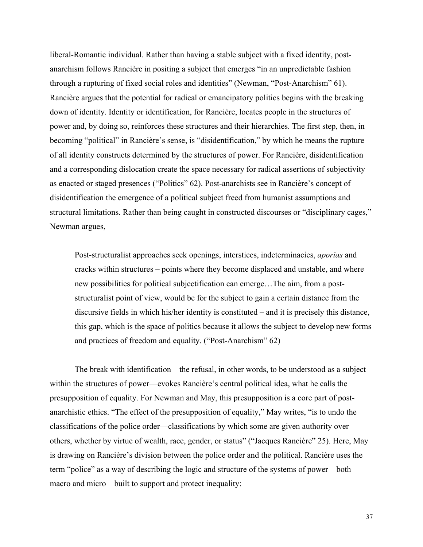liberal-Romantic individual. Rather than having a stable subject with a fixed identity, postanarchism follows Rancière in positing a subject that emerges "in an unpredictable fashion through a rupturing of fixed social roles and identities" (Newman, "Post-Anarchism" 61). Rancière argues that the potential for radical or emancipatory politics begins with the breaking down of identity. Identity or identification, for Rancière, locates people in the structures of power and, by doing so, reinforces these structures and their hierarchies. The first step, then, in becoming "political" in Rancière's sense, is "disidentification," by which he means the rupture of all identity constructs determined by the structures of power. For Rancière, disidentification and a corresponding dislocation create the space necessary for radical assertions of subjectivity as enacted or staged presences ("Politics" 62). Post-anarchists see in Rancière's concept of disidentification the emergence of a political subject freed from humanist assumptions and structural limitations. Rather than being caught in constructed discourses or "disciplinary cages," Newman argues,

Post-structuralist approaches seek openings, interstices, indeterminacies, *aporias* and cracks within structures – points where they become displaced and unstable, and where new possibilities for political subjectification can emerge…The aim, from a poststructuralist point of view, would be for the subject to gain a certain distance from the discursive fields in which his/her identity is constituted – and it is precisely this distance, this gap, which is the space of politics because it allows the subject to develop new forms and practices of freedom and equality. ("Post-Anarchism" 62)

The break with identification—the refusal, in other words, to be understood as a subject within the structures of power—evokes Rancière's central political idea, what he calls the presupposition of equality. For Newman and May, this presupposition is a core part of postanarchistic ethics. "The effect of the presupposition of equality," May writes, "is to undo the classifications of the police order—classifications by which some are given authority over others, whether by virtue of wealth, race, gender, or status" ("Jacques Rancière" 25). Here, May is drawing on Rancière's division between the police order and the political. Rancière uses the term "police" as a way of describing the logic and structure of the systems of power—both macro and micro—built to support and protect inequality: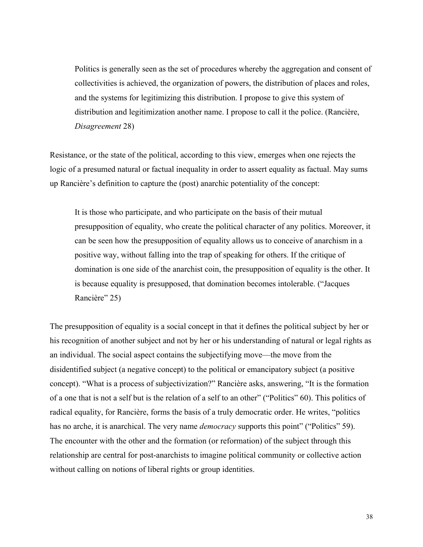Politics is generally seen as the set of procedures whereby the aggregation and consent of collectivities is achieved, the organization of powers, the distribution of places and roles, and the systems for legitimizing this distribution. I propose to give this system of distribution and legitimization another name. I propose to call it the police. (Rancière, *Disagreement* 28)

Resistance, or the state of the political, according to this view, emerges when one rejects the logic of a presumed natural or factual inequality in order to assert equality as factual. May sums up Rancière's definition to capture the (post) anarchic potentiality of the concept:

It is those who participate, and who participate on the basis of their mutual presupposition of equality, who create the political character of any politics. Moreover, it can be seen how the presupposition of equality allows us to conceive of anarchism in a positive way, without falling into the trap of speaking for others. If the critique of domination is one side of the anarchist coin, the presupposition of equality is the other. It is because equality is presupposed, that domination becomes intolerable. ("Jacques Rancière" 25)

The presupposition of equality is a social concept in that it defines the political subject by her or his recognition of another subject and not by her or his understanding of natural or legal rights as an individual. The social aspect contains the subjectifying move—the move from the disidentified subject (a negative concept) to the political or emancipatory subject (a positive concept). "What is a process of subjectivization?" Rancière asks, answering, "It is the formation of a one that is not a self but is the relation of a self to an other" ("Politics" 60). This politics of radical equality, for Rancière, forms the basis of a truly democratic order. He writes, "politics has no arche, it is anarchical. The very name *democracy* supports this point" ("Politics" 59). The encounter with the other and the formation (or reformation) of the subject through this relationship are central for post-anarchists to imagine political community or collective action without calling on notions of liberal rights or group identities.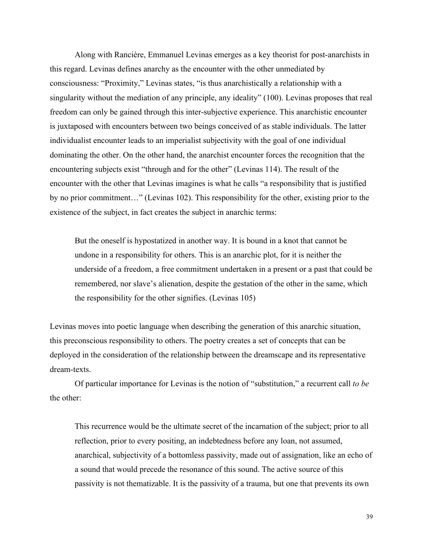Along with Rancière, Emmanuel Levinas emerges as a key theorist for post-anarchists in this regard. Levinas defines anarchy as the encounter with the other unmediated by consciousness: "Proximity," Levinas states, "is thus anarchistically a relationship with a singularity without the mediation of any principle, any ideality" (100). Levinas proposes that real freedom can only be gained through this inter-subjective experience. This anarchistic encounter is juxtaposed with encounters between two beings conceived of as stable individuals. The latter individualist encounter leads to an imperialist subjectivity with the goal of one individual dominating the other. On the other hand, the anarchist encounter forces the recognition that the encountering subjects exist "through and for the other" (Levinas 114). The result of the encounter with the other that Levinas imagines is what he calls "a responsibility that is justified by no prior commitment…" (Levinas 102). This responsibility for the other, existing prior to the existence of the subject, in fact creates the subject in anarchic terms:

But the oneself is hypostatized in another way. It is bound in a knot that cannot be undone in a responsibility for others. This is an anarchic plot, for it is neither the underside of a freedom, a free commitment undertaken in a present or a past that could be remembered, nor slave's alienation, despite the gestation of the other in the same, which the responsibility for the other signifies. (Levinas 105)

Levinas moves into poetic language when describing the generation of this anarchic situation, this preconscious responsibility to others. The poetry creates a set of concepts that can be deployed in the consideration of the relationship between the dreamscape and its representative dream-texts.

Of particular importance for Levinas is the notion of "substitution," a recurrent call *to be* the other:

This recurrence would be the ultimate secret of the incarnation of the subject; prior to all reflection, prior to every positing, an indebtedness before any loan, not assumed, anarchical, subjectivity of a bottomless passivity, made out of assignation, like an echo of a sound that would precede the resonance of this sound. The active source of this passivity is not thematizable. It is the passivity of a trauma, but one that prevents its own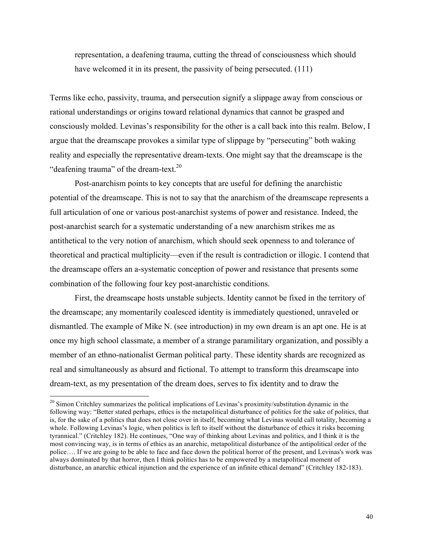representation, a deafening trauma, cutting the thread of consciousness which should have welcomed it in its present, the passivity of being persecuted. (111)

Terms like echo, passivity, trauma, and persecution signify a slippage away from conscious or rational understandings or origins toward relational dynamics that cannot be grasped and consciously molded. Levinas's responsibility for the other is a call back into this realm. Below, I argue that the dreamscape provokes a similar type of slippage by "persecuting" both waking reality and especially the representative dream-texts. One might say that the dreamscape is the "deafening trauma" of the dream-text.<sup>20</sup>

Post-anarchism points to key concepts that are useful for defining the anarchistic potential of the dreamscape. This is not to say that the anarchism of the dreamscape represents a full articulation of one or various post-anarchist systems of power and resistance. Indeed, the post-anarchist search for a systematic understanding of a new anarchism strikes me as antithetical to the very notion of anarchism, which should seek openness to and tolerance of theoretical and practical multiplicity—even if the result is contradiction or illogic. I contend that the dreamscape offers an a-systematic conception of power and resistance that presents some combination of the following four key post-anarchistic conditions.

First, the dreamscape hosts unstable subjects. Identity cannot be fixed in the territory of the dreamscape; any momentarily coalesced identity is immediately questioned, unraveled or dismantled. The example of Mike N. (see introduction) in my own dream is an apt one. He is at once my high school classmate, a member of a strange paramilitary organization, and possibly a member of an ethno-nationalist German political party. These identity shards are recognized as real and simultaneously as absurd and fictional. To attempt to transform this dreamscape into dream-text, as my presentation of the dream does, serves to fix identity and to draw the

<sup>&</sup>lt;sup>20</sup> Simon Critchley summarizes the political implications of Levinas's proximity/substitution dynamic in the following way: "Better stated perhaps, ethics is the metapolitical disturbance of politics for the sake of politics, that is, for the sake of a politics that does not close over in itself, becoming what Levinas would call totality, becoming a whole. Following Levinas's logic, when politics is left to itself without the disturbance of ethics it risks becoming tyrannical." (Critchley 182). He continues, "One way of thinking about Levinas and politics, and I think it is the most convincing way, is in terms of ethics as an anarchic, metapolitical disturbance of the antipolitical order of the police…. If we are going to be able to face and face down the political horror of the present, and Levinas's work was always dominated by that horror, then I think politics has to be empowered by a metapolitical moment of disturbance, an anarchic ethical injunction and the experience of an infinite ethical demand" (Critchley 182-183).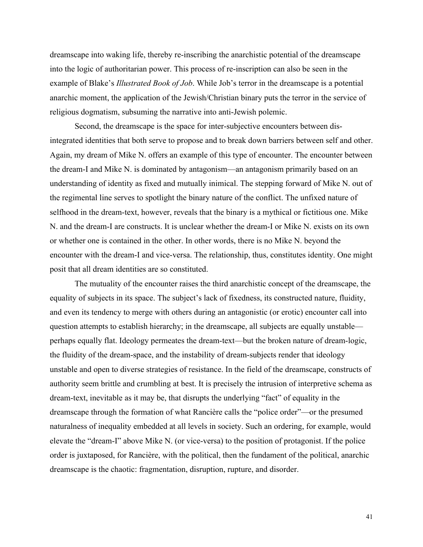dreamscape into waking life, thereby re-inscribing the anarchistic potential of the dreamscape into the logic of authoritarian power. This process of re-inscription can also be seen in the example of Blake's *Illustrated Book of Job*. While Job's terror in the dreamscape is a potential anarchic moment, the application of the Jewish/Christian binary puts the terror in the service of religious dogmatism, subsuming the narrative into anti-Jewish polemic.

Second, the dreamscape is the space for inter-subjective encounters between disintegrated identities that both serve to propose and to break down barriers between self and other. Again, my dream of Mike N. offers an example of this type of encounter. The encounter between the dream-I and Mike N. is dominated by antagonism—an antagonism primarily based on an understanding of identity as fixed and mutually inimical. The stepping forward of Mike N. out of the regimental line serves to spotlight the binary nature of the conflict. The unfixed nature of selfhood in the dream-text, however, reveals that the binary is a mythical or fictitious one. Mike N. and the dream-I are constructs. It is unclear whether the dream-I or Mike N. exists on its own or whether one is contained in the other. In other words, there is no Mike N. beyond the encounter with the dream-I and vice-versa. The relationship, thus, constitutes identity. One might posit that all dream identities are so constituted.

The mutuality of the encounter raises the third anarchistic concept of the dreamscape, the equality of subjects in its space. The subject's lack of fixedness, its constructed nature, fluidity, and even its tendency to merge with others during an antagonistic (or erotic) encounter call into question attempts to establish hierarchy; in the dreamscape, all subjects are equally unstable perhaps equally flat. Ideology permeates the dream-text—but the broken nature of dream-logic, the fluidity of the dream-space, and the instability of dream-subjects render that ideology unstable and open to diverse strategies of resistance. In the field of the dreamscape, constructs of authority seem brittle and crumbling at best. It is precisely the intrusion of interpretive schema as dream-text, inevitable as it may be, that disrupts the underlying "fact" of equality in the dreamscape through the formation of what Rancière calls the "police order"—or the presumed naturalness of inequality embedded at all levels in society. Such an ordering, for example, would elevate the "dream-I" above Mike N. (or vice-versa) to the position of protagonist. If the police order is juxtaposed, for Rancière, with the political, then the fundament of the political, anarchic dreamscape is the chaotic: fragmentation, disruption, rupture, and disorder.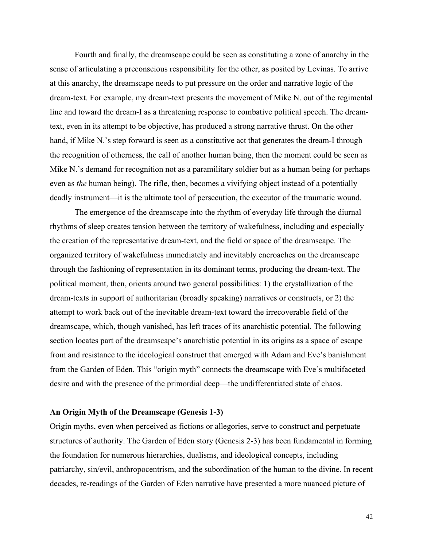Fourth and finally, the dreamscape could be seen as constituting a zone of anarchy in the sense of articulating a preconscious responsibility for the other, as posited by Levinas. To arrive at this anarchy, the dreamscape needs to put pressure on the order and narrative logic of the dream-text. For example, my dream-text presents the movement of Mike N. out of the regimental line and toward the dream-I as a threatening response to combative political speech. The dreamtext, even in its attempt to be objective, has produced a strong narrative thrust. On the other hand, if Mike N.'s step forward is seen as a constitutive act that generates the dream-I through the recognition of otherness, the call of another human being, then the moment could be seen as Mike N.'s demand for recognition not as a paramilitary soldier but as a human being (or perhaps even as *the* human being). The rifle, then, becomes a vivifying object instead of a potentially deadly instrument—it is the ultimate tool of persecution, the executor of the traumatic wound.

The emergence of the dreamscape into the rhythm of everyday life through the diurnal rhythms of sleep creates tension between the territory of wakefulness, including and especially the creation of the representative dream-text, and the field or space of the dreamscape. The organized territory of wakefulness immediately and inevitably encroaches on the dreamscape through the fashioning of representation in its dominant terms, producing the dream-text. The political moment, then, orients around two general possibilities: 1) the crystallization of the dream-texts in support of authoritarian (broadly speaking) narratives or constructs, or 2) the attempt to work back out of the inevitable dream-text toward the irrecoverable field of the dreamscape, which, though vanished, has left traces of its anarchistic potential. The following section locates part of the dreamscape's anarchistic potential in its origins as a space of escape from and resistance to the ideological construct that emerged with Adam and Eve's banishment from the Garden of Eden. This "origin myth" connects the dreamscape with Eve's multifaceted desire and with the presence of the primordial deep—the undifferentiated state of chaos.

#### **An Origin Myth of the Dreamscape (Genesis 1-3)**

Origin myths, even when perceived as fictions or allegories, serve to construct and perpetuate structures of authority. The Garden of Eden story (Genesis 2-3) has been fundamental in forming the foundation for numerous hierarchies, dualisms, and ideological concepts, including patriarchy, sin/evil, anthropocentrism, and the subordination of the human to the divine. In recent decades, re-readings of the Garden of Eden narrative have presented a more nuanced picture of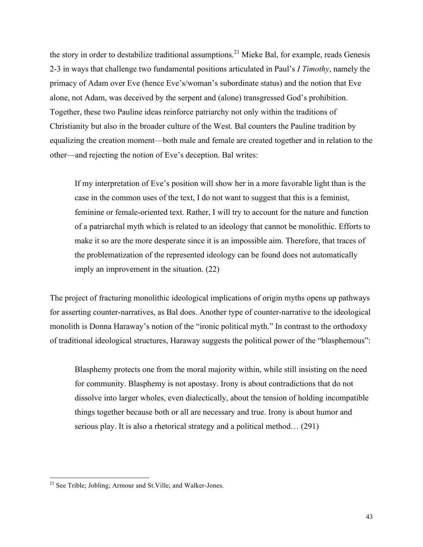the story in order to destabilize traditional assumptions.<sup>21</sup> Mieke Bal, for example, reads Genesis 2-3 in ways that challenge two fundamental positions articulated in Paul's *I Timothy*, namely the primacy of Adam over Eve (hence Eve's/woman's subordinate status) and the notion that Eve alone, not Adam, was deceived by the serpent and (alone) transgressed God's prohibition. Together, these two Pauline ideas reinforce patriarchy not only within the traditions of Christianity but also in the broader culture of the West. Bal counters the Pauline tradition by equalizing the creation moment—both male and female are created together and in relation to the other—and rejecting the notion of Eve's deception. Bal writes:

If my interpretation of Eve's position will show her in a more favorable light than is the case in the common uses of the text, I do not want to suggest that this is a feminist, feminine or female-oriented text. Rather, I will try to account for the nature and function of a patriarchal myth which is related to an ideology that cannot be monolithic. Efforts to make it so are the more desperate since it is an impossible aim. Therefore, that traces of the problematization of the represented ideology can be found does not automatically imply an improvement in the situation. (22)

The project of fracturing monolithic ideological implications of origin myths opens up pathways for asserting counter-narratives, as Bal does. Another type of counter-narrative to the ideological monolith is Donna Haraway's notion of the "ironic political myth." In contrast to the orthodoxy of traditional ideological structures, Haraway suggests the political power of the "blasphemous":

Blasphemy protects one from the moral majority within, while still insisting on the need for community. Blasphemy is not apostasy. Irony is about contradictions that do not dissolve into larger wholes, even dialectically, about the tension of holding incompatible things together because both or all are necessary and true. Irony is about humor and serious play. It is also a rhetorical strategy and a political method… (291)

<sup>&</sup>lt;sup>21</sup> See Trible; Jobling; Armour and St. Ville; and Walker-Jones.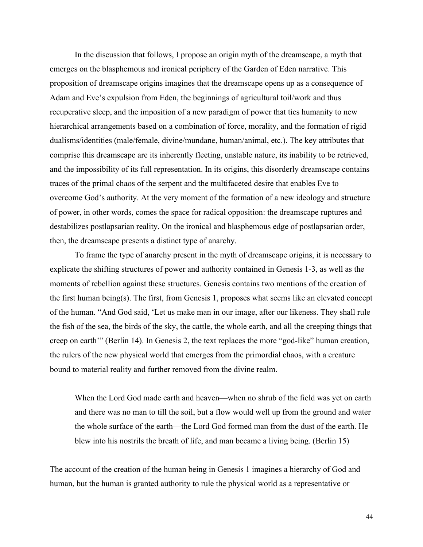In the discussion that follows, I propose an origin myth of the dreamscape, a myth that emerges on the blasphemous and ironical periphery of the Garden of Eden narrative. This proposition of dreamscape origins imagines that the dreamscape opens up as a consequence of Adam and Eve's expulsion from Eden, the beginnings of agricultural toil/work and thus recuperative sleep, and the imposition of a new paradigm of power that ties humanity to new hierarchical arrangements based on a combination of force, morality, and the formation of rigid dualisms/identities (male/female, divine/mundane, human/animal, etc.). The key attributes that comprise this dreamscape are its inherently fleeting, unstable nature, its inability to be retrieved, and the impossibility of its full representation. In its origins, this disorderly dreamscape contains traces of the primal chaos of the serpent and the multifaceted desire that enables Eve to overcome God's authority. At the very moment of the formation of a new ideology and structure of power, in other words, comes the space for radical opposition: the dreamscape ruptures and destabilizes postlapsarian reality. On the ironical and blasphemous edge of postlapsarian order, then, the dreamscape presents a distinct type of anarchy.

To frame the type of anarchy present in the myth of dreamscape origins, it is necessary to explicate the shifting structures of power and authority contained in Genesis 1-3, as well as the moments of rebellion against these structures. Genesis contains two mentions of the creation of the first human being(s). The first, from Genesis 1, proposes what seems like an elevated concept of the human. "And God said, 'Let us make man in our image, after our likeness. They shall rule the fish of the sea, the birds of the sky, the cattle, the whole earth, and all the creeping things that creep on earth'" (Berlin 14). In Genesis 2, the text replaces the more "god-like" human creation, the rulers of the new physical world that emerges from the primordial chaos, with a creature bound to material reality and further removed from the divine realm.

When the Lord God made earth and heaven—when no shrub of the field was yet on earth and there was no man to till the soil, but a flow would well up from the ground and water the whole surface of the earth—the Lord God formed man from the dust of the earth. He blew into his nostrils the breath of life, and man became a living being. (Berlin 15)

The account of the creation of the human being in Genesis 1 imagines a hierarchy of God and human, but the human is granted authority to rule the physical world as a representative or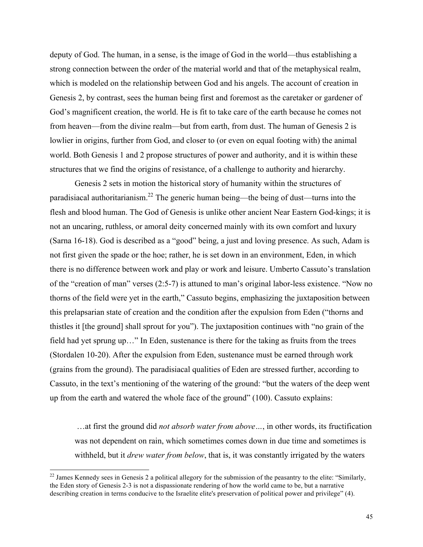deputy of God. The human, in a sense, is the image of God in the world—thus establishing a strong connection between the order of the material world and that of the metaphysical realm, which is modeled on the relationship between God and his angels. The account of creation in Genesis 2, by contrast, sees the human being first and foremost as the caretaker or gardener of God's magnificent creation, the world. He is fit to take care of the earth because he comes not from heaven—from the divine realm—but from earth, from dust. The human of Genesis 2 is lowlier in origins, further from God, and closer to (or even on equal footing with) the animal world. Both Genesis 1 and 2 propose structures of power and authority, and it is within these structures that we find the origins of resistance, of a challenge to authority and hierarchy.

 Genesis 2 sets in motion the historical story of humanity within the structures of paradisiacal authoritarianism.<sup>22</sup> The generic human being—the being of dust—turns into the flesh and blood human. The God of Genesis is unlike other ancient Near Eastern God-kings; it is not an uncaring, ruthless, or amoral deity concerned mainly with its own comfort and luxury (Sarna 16-18). God is described as a "good" being, a just and loving presence. As such, Adam is not first given the spade or the hoe; rather, he is set down in an environment, Eden, in which there is no difference between work and play or work and leisure. Umberto Cassuto's translation of the "creation of man" verses (2:5-7) is attuned to man's original labor-less existence. "Now no thorns of the field were yet in the earth," Cassuto begins, emphasizing the juxtaposition between this prelapsarian state of creation and the condition after the expulsion from Eden ("thorns and thistles it [the ground] shall sprout for you"). The juxtaposition continues with "no grain of the field had yet sprung up…" In Eden, sustenance is there for the taking as fruits from the trees (Stordalen 10-20). After the expulsion from Eden, sustenance must be earned through work (grains from the ground). The paradisiacal qualities of Eden are stressed further, according to Cassuto, in the text's mentioning of the watering of the ground: "but the waters of the deep went up from the earth and watered the whole face of the ground" (100). Cassuto explains:

…at first the ground did *not absorb water from above…*, in other words, its fructification was not dependent on rain, which sometimes comes down in due time and sometimes is withheld, but it *drew water from below*, that is, it was constantly irrigated by the waters

<sup>&</sup>lt;sup>22</sup> James Kennedy sees in Genesis 2 a political allegory for the submission of the peasantry to the elite: "Similarly, the Eden story of Genesis 2-3 is not a dispassionate rendering of how the world came to be, but a narrative describing creation in terms conducive to the Israelite elite's preservation of political power and privilege" (4).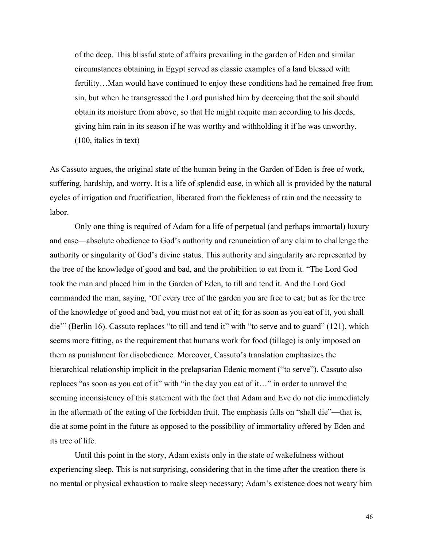of the deep. This blissful state of affairs prevailing in the garden of Eden and similar circumstances obtaining in Egypt served as classic examples of a land blessed with fertility…Man would have continued to enjoy these conditions had he remained free from sin, but when he transgressed the Lord punished him by decreeing that the soil should obtain its moisture from above, so that He might requite man according to his deeds, giving him rain in its season if he was worthy and withholding it if he was unworthy. (100, italics in text)

As Cassuto argues, the original state of the human being in the Garden of Eden is free of work, suffering, hardship, and worry. It is a life of splendid ease, in which all is provided by the natural cycles of irrigation and fructification, liberated from the fickleness of rain and the necessity to labor.

Only one thing is required of Adam for a life of perpetual (and perhaps immortal) luxury and ease—absolute obedience to God's authority and renunciation of any claim to challenge the authority or singularity of God's divine status. This authority and singularity are represented by the tree of the knowledge of good and bad, and the prohibition to eat from it. "The Lord God took the man and placed him in the Garden of Eden, to till and tend it. And the Lord God commanded the man, saying, 'Of every tree of the garden you are free to eat; but as for the tree of the knowledge of good and bad, you must not eat of it; for as soon as you eat of it, you shall die'" (Berlin 16). Cassuto replaces "to till and tend it" with "to serve and to guard" (121), which seems more fitting, as the requirement that humans work for food (tillage) is only imposed on them as punishment for disobedience. Moreover, Cassuto's translation emphasizes the hierarchical relationship implicit in the prelapsarian Edenic moment ("to serve"). Cassuto also replaces "as soon as you eat of it" with "in the day you eat of it…" in order to unravel the seeming inconsistency of this statement with the fact that Adam and Eve do not die immediately in the aftermath of the eating of the forbidden fruit. The emphasis falls on "shall die"—that is, die at some point in the future as opposed to the possibility of immortality offered by Eden and its tree of life.

Until this point in the story, Adam exists only in the state of wakefulness without experiencing sleep. This is not surprising, considering that in the time after the creation there is no mental or physical exhaustion to make sleep necessary; Adam's existence does not weary him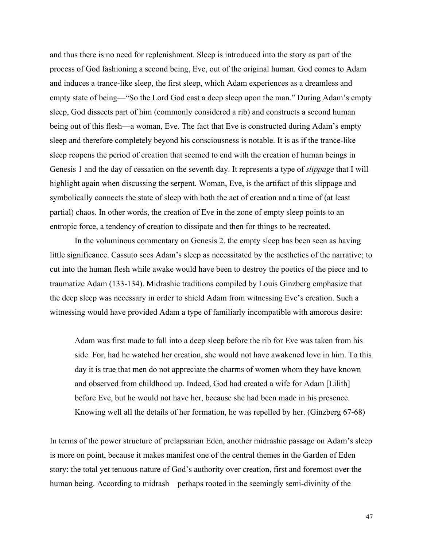and thus there is no need for replenishment. Sleep is introduced into the story as part of the process of God fashioning a second being, Eve, out of the original human. God comes to Adam and induces a trance-like sleep, the first sleep, which Adam experiences as a dreamless and empty state of being—"So the Lord God cast a deep sleep upon the man." During Adam's empty sleep, God dissects part of him (commonly considered a rib) and constructs a second human being out of this flesh—a woman, Eve. The fact that Eve is constructed during Adam's empty sleep and therefore completely beyond his consciousness is notable. It is as if the trance-like sleep reopens the period of creation that seemed to end with the creation of human beings in Genesis 1 and the day of cessation on the seventh day. It represents a type of *slippage* that I will highlight again when discussing the serpent. Woman, Eve, is the artifact of this slippage and symbolically connects the state of sleep with both the act of creation and a time of (at least partial) chaos. In other words, the creation of Eve in the zone of empty sleep points to an entropic force, a tendency of creation to dissipate and then for things to be recreated.

In the voluminous commentary on Genesis 2, the empty sleep has been seen as having little significance. Cassuto sees Adam's sleep as necessitated by the aesthetics of the narrative; to cut into the human flesh while awake would have been to destroy the poetics of the piece and to traumatize Adam (133-134). Midrashic traditions compiled by Louis Ginzberg emphasize that the deep sleep was necessary in order to shield Adam from witnessing Eve's creation. Such a witnessing would have provided Adam a type of familiarly incompatible with amorous desire:

Adam was first made to fall into a deep sleep before the rib for Eve was taken from his side. For, had he watched her creation, she would not have awakened love in him. To this day it is true that men do not appreciate the charms of women whom they have known and observed from childhood up. Indeed, God had created a wife for Adam [Lilith] before Eve, but he would not have her, because she had been made in his presence. Knowing well all the details of her formation, he was repelled by her. (Ginzberg 67-68)

In terms of the power structure of prelapsarian Eden, another midrashic passage on Adam's sleep is more on point, because it makes manifest one of the central themes in the Garden of Eden story: the total yet tenuous nature of God's authority over creation, first and foremost over the human being. According to midrash—perhaps rooted in the seemingly semi-divinity of the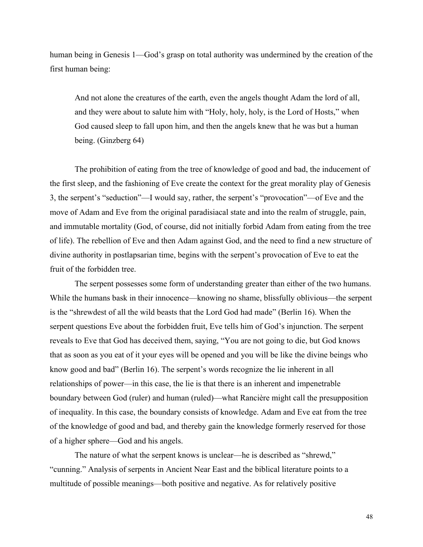human being in Genesis 1—God's grasp on total authority was undermined by the creation of the first human being:

And not alone the creatures of the earth, even the angels thought Adam the lord of all, and they were about to salute him with "Holy, holy, holy, is the Lord of Hosts," when God caused sleep to fall upon him, and then the angels knew that he was but a human being. (Ginzberg 64)

The prohibition of eating from the tree of knowledge of good and bad, the inducement of the first sleep, and the fashioning of Eve create the context for the great morality play of Genesis 3, the serpent's "seduction"—I would say, rather, the serpent's "provocation"—of Eve and the move of Adam and Eve from the original paradisiacal state and into the realm of struggle, pain, and immutable mortality (God, of course, did not initially forbid Adam from eating from the tree of life). The rebellion of Eve and then Adam against God, and the need to find a new structure of divine authority in postlapsarian time, begins with the serpent's provocation of Eve to eat the fruit of the forbidden tree.

The serpent possesses some form of understanding greater than either of the two humans. While the humans bask in their innocence—knowing no shame, blissfully oblivious—the serpent is the "shrewdest of all the wild beasts that the Lord God had made" (Berlin 16). When the serpent questions Eve about the forbidden fruit, Eve tells him of God's injunction. The serpent reveals to Eve that God has deceived them, saying, "You are not going to die, but God knows that as soon as you eat of it your eyes will be opened and you will be like the divine beings who know good and bad" (Berlin 16). The serpent's words recognize the lie inherent in all relationships of power—in this case, the lie is that there is an inherent and impenetrable boundary between God (ruler) and human (ruled)—what Rancière might call the presupposition of inequality. In this case, the boundary consists of knowledge. Adam and Eve eat from the tree of the knowledge of good and bad, and thereby gain the knowledge formerly reserved for those of a higher sphere—God and his angels.

The nature of what the serpent knows is unclear—he is described as "shrewd," "cunning." Analysis of serpents in Ancient Near East and the biblical literature points to a multitude of possible meanings—both positive and negative. As for relatively positive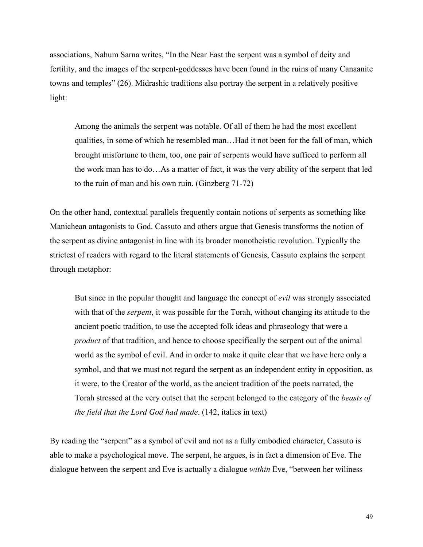associations, Nahum Sarna writes, "In the Near East the serpent was a symbol of deity and fertility, and the images of the serpent-goddesses have been found in the ruins of many Canaanite towns and temples" (26). Midrashic traditions also portray the serpent in a relatively positive light:

Among the animals the serpent was notable. Of all of them he had the most excellent qualities, in some of which he resembled man…Had it not been for the fall of man, which brought misfortune to them, too, one pair of serpents would have sufficed to perform all the work man has to do…As a matter of fact, it was the very ability of the serpent that led to the ruin of man and his own ruin. (Ginzberg 71-72)

On the other hand, contextual parallels frequently contain notions of serpents as something like Manichean antagonists to God. Cassuto and others argue that Genesis transforms the notion of the serpent as divine antagonist in line with its broader monotheistic revolution. Typically the strictest of readers with regard to the literal statements of Genesis, Cassuto explains the serpent through metaphor:

But since in the popular thought and language the concept of *evil* was strongly associated with that of the *serpent*, it was possible for the Torah, without changing its attitude to the ancient poetic tradition, to use the accepted folk ideas and phraseology that were a *product* of that tradition, and hence to choose specifically the serpent out of the animal world as the symbol of evil. And in order to make it quite clear that we have here only a symbol, and that we must not regard the serpent as an independent entity in opposition, as it were, to the Creator of the world, as the ancient tradition of the poets narrated, the Torah stressed at the very outset that the serpent belonged to the category of the *beasts of the field that the Lord God had made*. (142, italics in text)

By reading the "serpent" as a symbol of evil and not as a fully embodied character, Cassuto is able to make a psychological move. The serpent, he argues, is in fact a dimension of Eve. The dialogue between the serpent and Eve is actually a dialogue *within* Eve, "between her wiliness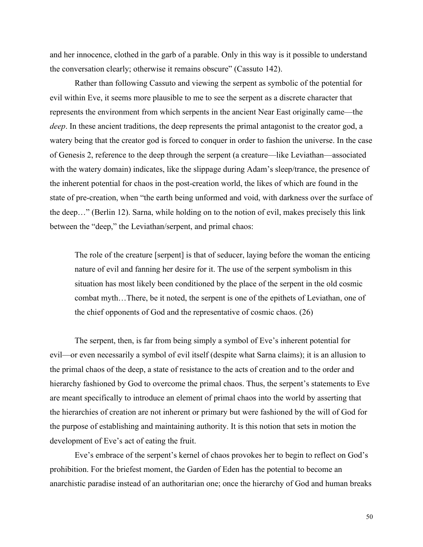and her innocence, clothed in the garb of a parable. Only in this way is it possible to understand the conversation clearly; otherwise it remains obscure" (Cassuto 142).

Rather than following Cassuto and viewing the serpent as symbolic of the potential for evil within Eve, it seems more plausible to me to see the serpent as a discrete character that represents the environment from which serpents in the ancient Near East originally came—the *deep*. In these ancient traditions, the deep represents the primal antagonist to the creator god, a watery being that the creator god is forced to conquer in order to fashion the universe. In the case of Genesis 2, reference to the deep through the serpent (a creature—like Leviathan—associated with the watery domain) indicates, like the slippage during Adam's sleep/trance, the presence of the inherent potential for chaos in the post-creation world, the likes of which are found in the state of pre-creation, when "the earth being unformed and void, with darkness over the surface of the deep…" (Berlin 12). Sarna, while holding on to the notion of evil, makes precisely this link between the "deep," the Leviathan/serpent, and primal chaos:

The role of the creature [serpent] is that of seducer, laying before the woman the enticing nature of evil and fanning her desire for it. The use of the serpent symbolism in this situation has most likely been conditioned by the place of the serpent in the old cosmic combat myth…There, be it noted, the serpent is one of the epithets of Leviathan, one of the chief opponents of God and the representative of cosmic chaos. (26)

The serpent, then, is far from being simply a symbol of Eve's inherent potential for evil—or even necessarily a symbol of evil itself (despite what Sarna claims); it is an allusion to the primal chaos of the deep, a state of resistance to the acts of creation and to the order and hierarchy fashioned by God to overcome the primal chaos. Thus, the serpent's statements to Eve are meant specifically to introduce an element of primal chaos into the world by asserting that the hierarchies of creation are not inherent or primary but were fashioned by the will of God for the purpose of establishing and maintaining authority. It is this notion that sets in motion the development of Eve's act of eating the fruit.

Eve's embrace of the serpent's kernel of chaos provokes her to begin to reflect on God's prohibition. For the briefest moment, the Garden of Eden has the potential to become an anarchistic paradise instead of an authoritarian one; once the hierarchy of God and human breaks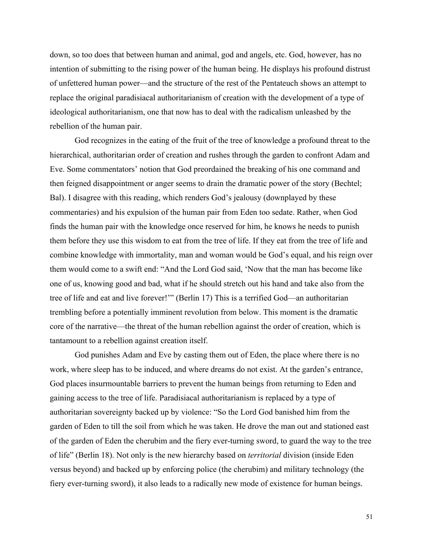down, so too does that between human and animal, god and angels, etc. God, however, has no intention of submitting to the rising power of the human being. He displays his profound distrust of unfettered human power—and the structure of the rest of the Pentateuch shows an attempt to replace the original paradisiacal authoritarianism of creation with the development of a type of ideological authoritarianism, one that now has to deal with the radicalism unleashed by the rebellion of the human pair.

God recognizes in the eating of the fruit of the tree of knowledge a profound threat to the hierarchical, authoritarian order of creation and rushes through the garden to confront Adam and Eve. Some commentators' notion that God preordained the breaking of his one command and then feigned disappointment or anger seems to drain the dramatic power of the story (Bechtel; Bal). I disagree with this reading, which renders God's jealousy (downplayed by these commentaries) and his expulsion of the human pair from Eden too sedate. Rather, when God finds the human pair with the knowledge once reserved for him, he knows he needs to punish them before they use this wisdom to eat from the tree of life. If they eat from the tree of life and combine knowledge with immortality, man and woman would be God's equal, and his reign over them would come to a swift end: "And the Lord God said, 'Now that the man has become like one of us, knowing good and bad, what if he should stretch out his hand and take also from the tree of life and eat and live forever!'" (Berlin 17) This is a terrified God—an authoritarian trembling before a potentially imminent revolution from below. This moment is the dramatic core of the narrative—the threat of the human rebellion against the order of creation, which is tantamount to a rebellion against creation itself.

God punishes Adam and Eve by casting them out of Eden, the place where there is no work, where sleep has to be induced, and where dreams do not exist. At the garden's entrance, God places insurmountable barriers to prevent the human beings from returning to Eden and gaining access to the tree of life. Paradisiacal authoritarianism is replaced by a type of authoritarian sovereignty backed up by violence: "So the Lord God banished him from the garden of Eden to till the soil from which he was taken. He drove the man out and stationed east of the garden of Eden the cherubim and the fiery ever-turning sword, to guard the way to the tree of life" (Berlin 18). Not only is the new hierarchy based on *territorial* division (inside Eden versus beyond) and backed up by enforcing police (the cherubim) and military technology (the fiery ever-turning sword), it also leads to a radically new mode of existence for human beings.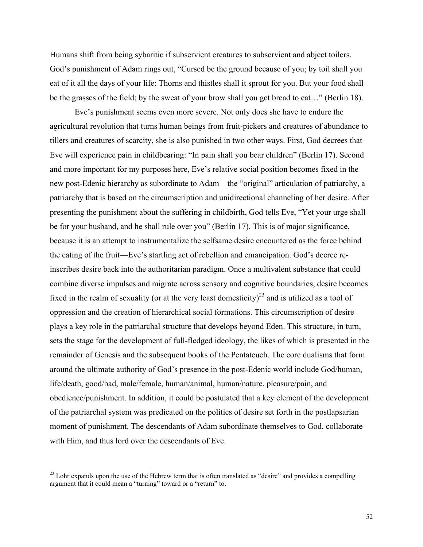Humans shift from being sybaritic if subservient creatures to subservient and abject toilers. God's punishment of Adam rings out, "Cursed be the ground because of you; by toil shall you eat of it all the days of your life: Thorns and thistles shall it sprout for you. But your food shall be the grasses of the field; by the sweat of your brow shall you get bread to eat…" (Berlin 18).

Eve's punishment seems even more severe. Not only does she have to endure the agricultural revolution that turns human beings from fruit-pickers and creatures of abundance to tillers and creatures of scarcity, she is also punished in two other ways. First, God decrees that Eve will experience pain in childbearing: "In pain shall you bear children" (Berlin 17). Second and more important for my purposes here, Eve's relative social position becomes fixed in the new post-Edenic hierarchy as subordinate to Adam—the "original" articulation of patriarchy, a patriarchy that is based on the circumscription and unidirectional channeling of her desire. After presenting the punishment about the suffering in childbirth, God tells Eve, "Yet your urge shall be for your husband, and he shall rule over you" (Berlin 17). This is of major significance, because it is an attempt to instrumentalize the selfsame desire encountered as the force behind the eating of the fruit—Eve's startling act of rebellion and emancipation. God's decree reinscribes desire back into the authoritarian paradigm. Once a multivalent substance that could combine diverse impulses and migrate across sensory and cognitive boundaries, desire becomes fixed in the realm of sexuality (or at the very least domesticity)<sup>23</sup> and is utilized as a tool of oppression and the creation of hierarchical social formations. This circumscription of desire plays a key role in the patriarchal structure that develops beyond Eden. This structure, in turn, sets the stage for the development of full-fledged ideology, the likes of which is presented in the remainder of Genesis and the subsequent books of the Pentateuch. The core dualisms that form around the ultimate authority of God's presence in the post-Edenic world include God/human, life/death, good/bad, male/female, human/animal, human/nature, pleasure/pain, and obedience/punishment. In addition, it could be postulated that a key element of the development of the patriarchal system was predicated on the politics of desire set forth in the postlapsarian moment of punishment. The descendants of Adam subordinate themselves to God, collaborate with Him, and thus lord over the descendants of Eve.

<sup>&</sup>lt;sup>23</sup> Lohr expands upon the use of the Hebrew term that is often translated as "desire" and provides a compelling argument that it could mean a "turning" toward or a "return" to.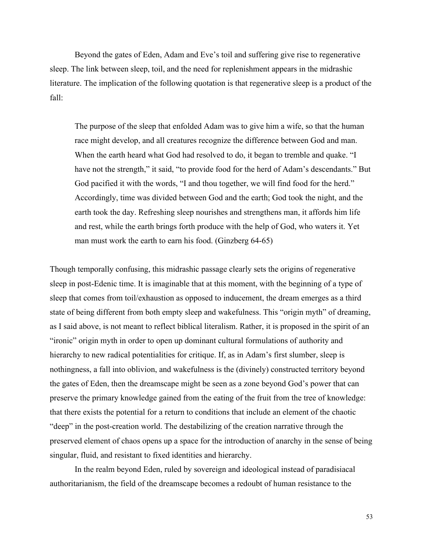Beyond the gates of Eden, Adam and Eve's toil and suffering give rise to regenerative sleep. The link between sleep, toil, and the need for replenishment appears in the midrashic literature. The implication of the following quotation is that regenerative sleep is a product of the fall:

The purpose of the sleep that enfolded Adam was to give him a wife, so that the human race might develop, and all creatures recognize the difference between God and man. When the earth heard what God had resolved to do, it began to tremble and quake. "I have not the strength," it said, "to provide food for the herd of Adam's descendants." But God pacified it with the words, "I and thou together, we will find food for the herd." Accordingly, time was divided between God and the earth; God took the night, and the earth took the day. Refreshing sleep nourishes and strengthens man, it affords him life and rest, while the earth brings forth produce with the help of God, who waters it. Yet man must work the earth to earn his food. (Ginzberg 64-65)

Though temporally confusing, this midrashic passage clearly sets the origins of regenerative sleep in post-Edenic time. It is imaginable that at this moment, with the beginning of a type of sleep that comes from toil/exhaustion as opposed to inducement, the dream emerges as a third state of being different from both empty sleep and wakefulness. This "origin myth" of dreaming, as I said above, is not meant to reflect biblical literalism. Rather, it is proposed in the spirit of an "ironic" origin myth in order to open up dominant cultural formulations of authority and hierarchy to new radical potentialities for critique. If, as in Adam's first slumber, sleep is nothingness, a fall into oblivion, and wakefulness is the (divinely) constructed territory beyond the gates of Eden, then the dreamscape might be seen as a zone beyond God's power that can preserve the primary knowledge gained from the eating of the fruit from the tree of knowledge: that there exists the potential for a return to conditions that include an element of the chaotic "deep" in the post-creation world. The destabilizing of the creation narrative through the preserved element of chaos opens up a space for the introduction of anarchy in the sense of being singular, fluid, and resistant to fixed identities and hierarchy.

In the realm beyond Eden, ruled by sovereign and ideological instead of paradisiacal authoritarianism, the field of the dreamscape becomes a redoubt of human resistance to the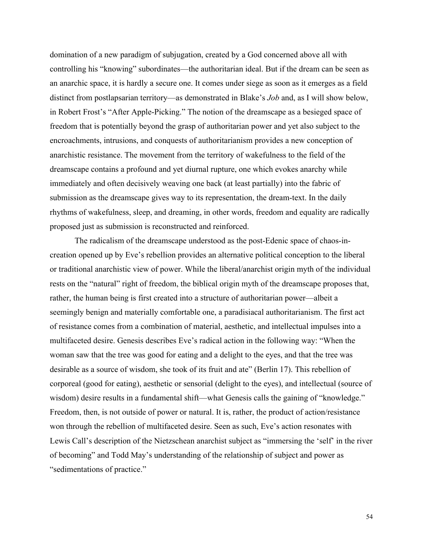domination of a new paradigm of subjugation, created by a God concerned above all with controlling his "knowing" subordinates—the authoritarian ideal. But if the dream can be seen as an anarchic space, it is hardly a secure one. It comes under siege as soon as it emerges as a field distinct from postlapsarian territory—as demonstrated in Blake's *Job* and, as I will show below, in Robert Frost's "After Apple-Picking." The notion of the dreamscape as a besieged space of freedom that is potentially beyond the grasp of authoritarian power and yet also subject to the encroachments, intrusions, and conquests of authoritarianism provides a new conception of anarchistic resistance. The movement from the territory of wakefulness to the field of the dreamscape contains a profound and yet diurnal rupture, one which evokes anarchy while immediately and often decisively weaving one back (at least partially) into the fabric of submission as the dreamscape gives way to its representation, the dream-text. In the daily rhythms of wakefulness, sleep, and dreaming, in other words, freedom and equality are radically proposed just as submission is reconstructed and reinforced.

The radicalism of the dreamscape understood as the post-Edenic space of chaos-increation opened up by Eve's rebellion provides an alternative political conception to the liberal or traditional anarchistic view of power. While the liberal/anarchist origin myth of the individual rests on the "natural" right of freedom, the biblical origin myth of the dreamscape proposes that, rather, the human being is first created into a structure of authoritarian power—albeit a seemingly benign and materially comfortable one, a paradisiacal authoritarianism. The first act of resistance comes from a combination of material, aesthetic, and intellectual impulses into a multifaceted desire. Genesis describes Eve's radical action in the following way: "When the woman saw that the tree was good for eating and a delight to the eyes, and that the tree was desirable as a source of wisdom, she took of its fruit and ate" (Berlin 17). This rebellion of corporeal (good for eating), aesthetic or sensorial (delight to the eyes), and intellectual (source of wisdom) desire results in a fundamental shift—what Genesis calls the gaining of "knowledge." Freedom, then, is not outside of power or natural. It is, rather, the product of action/resistance won through the rebellion of multifaceted desire. Seen as such, Eve's action resonates with Lewis Call's description of the Nietzschean anarchist subject as "immersing the 'self' in the river of becoming" and Todd May's understanding of the relationship of subject and power as "sedimentations of practice."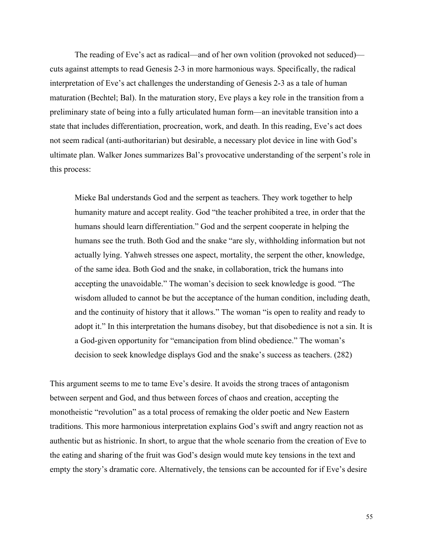The reading of Eve's act as radical—and of her own volition (provoked not seduced) cuts against attempts to read Genesis 2-3 in more harmonious ways. Specifically, the radical interpretation of Eve's act challenges the understanding of Genesis 2-3 as a tale of human maturation (Bechtel; Bal). In the maturation story, Eve plays a key role in the transition from a preliminary state of being into a fully articulated human form—an inevitable transition into a state that includes differentiation, procreation, work, and death. In this reading, Eve's act does not seem radical (anti-authoritarian) but desirable, a necessary plot device in line with God's ultimate plan. Walker Jones summarizes Bal's provocative understanding of the serpent's role in this process:

Mieke Bal understands God and the serpent as teachers. They work together to help humanity mature and accept reality. God "the teacher prohibited a tree, in order that the humans should learn differentiation." God and the serpent cooperate in helping the humans see the truth. Both God and the snake "are sly, withholding information but not actually lying. Yahweh stresses one aspect, mortality, the serpent the other, knowledge, of the same idea. Both God and the snake, in collaboration, trick the humans into accepting the unavoidable." The woman's decision to seek knowledge is good. "The wisdom alluded to cannot be but the acceptance of the human condition, including death, and the continuity of history that it allows." The woman "is open to reality and ready to adopt it." In this interpretation the humans disobey, but that disobedience is not a sin. It is a God-given opportunity for "emancipation from blind obedience." The woman's decision to seek knowledge displays God and the snake's success as teachers. (282)

This argument seems to me to tame Eve's desire. It avoids the strong traces of antagonism between serpent and God, and thus between forces of chaos and creation, accepting the monotheistic "revolution" as a total process of remaking the older poetic and New Eastern traditions. This more harmonious interpretation explains God's swift and angry reaction not as authentic but as histrionic. In short, to argue that the whole scenario from the creation of Eve to the eating and sharing of the fruit was God's design would mute key tensions in the text and empty the story's dramatic core. Alternatively, the tensions can be accounted for if Eve's desire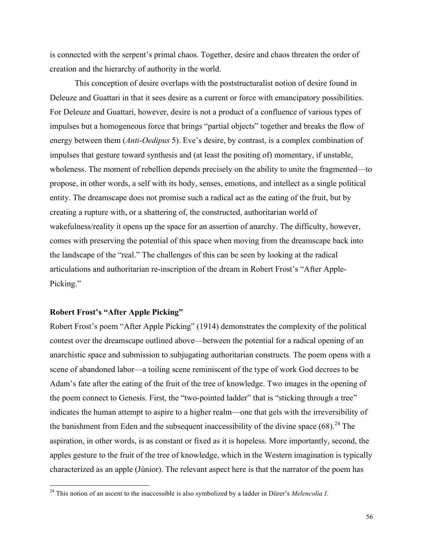is connected with the serpent's primal chaos. Together, desire and chaos threaten the order of creation and the hierarchy of authority in the world.

This conception of desire overlaps with the poststructuralist notion of desire found in Deleuze and Guattari in that it sees desire as a current or force with emancipatory possibilities. For Deleuze and Guattari, however, desire is not a product of a confluence of various types of impulses but a homogeneous force that brings "partial objects" together and breaks the flow of energy between them (*Anti-Oedipus* 5). Eve's desire, by contrast, is a complex combination of impulses that gesture toward synthesis and (at least the positing of) momentary, if unstable, wholeness. The moment of rebellion depends precisely on the ability to unite the fragmented—to propose, in other words, a self with its body, senses, emotions, and intellect as a single political entity. The dreamscape does not promise such a radical act as the eating of the fruit, but by creating a rupture with, or a shattering of, the constructed, authoritarian world of wakefulness/reality it opens up the space for an assertion of anarchy. The difficulty, however, comes with preserving the potential of this space when moving from the dreamscape back into the landscape of the "real." The challenges of this can be seen by looking at the radical articulations and authoritarian re-inscription of the dream in Robert Frost's "After Apple-Picking."

#### **Robert Frost's "After Apple Picking"**

Robert Frost's poem "After Apple Picking" (1914) demonstrates the complexity of the political contest over the dreamscape outlined above—between the potential for a radical opening of an anarchistic space and submission to subjugating authoritarian constructs. The poem opens with a scene of abandoned labor—a toiling scene reminiscent of the type of work God decrees to be Adam's fate after the eating of the fruit of the tree of knowledge. Two images in the opening of the poem connect to Genesis. First, the "two-pointed ladder" that is "sticking through a tree" indicates the human attempt to aspire to a higher realm—one that gels with the irreversibility of the banishment from Eden and the subsequent inaccessibility of the divine space  $(68)$ <sup>24</sup>. The aspiration, in other words, is as constant or fixed as it is hopeless. More importantly, second, the apples gesture to the fruit of the tree of knowledge, which in the Western imagination is typically characterized as an apple (Júnior). The relevant aspect here is that the narrator of the poem has

 <sup>24</sup> This notion of an ascent to the inaccessible is also symbolized by a ladder in Dürer's *Melencolia I*.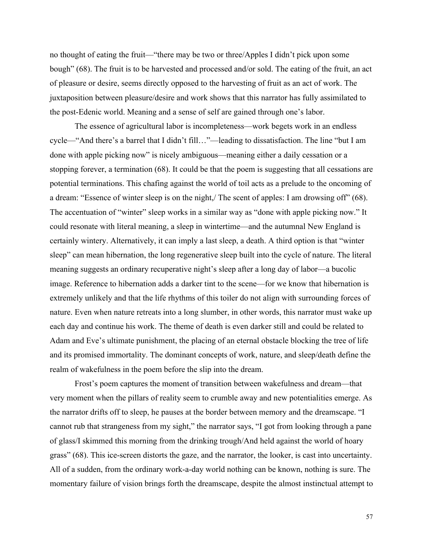no thought of eating the fruit—"there may be two or three/Apples I didn't pick upon some bough" (68). The fruit is to be harvested and processed and/or sold. The eating of the fruit, an act of pleasure or desire, seems directly opposed to the harvesting of fruit as an act of work. The juxtaposition between pleasure/desire and work shows that this narrator has fully assimilated to the post-Edenic world. Meaning and a sense of self are gained through one's labor.

The essence of agricultural labor is incompleteness—work begets work in an endless cycle—"And there's a barrel that I didn't fill…"—leading to dissatisfaction. The line "but I am done with apple picking now" is nicely ambiguous—meaning either a daily cessation or a stopping forever, a termination (68). It could be that the poem is suggesting that all cessations are potential terminations. This chafing against the world of toil acts as a prelude to the oncoming of a dream: "Essence of winter sleep is on the night,/ The scent of apples: I am drowsing off" (68). The accentuation of "winter" sleep works in a similar way as "done with apple picking now." It could resonate with literal meaning, a sleep in wintertime—and the autumnal New England is certainly wintery. Alternatively, it can imply a last sleep, a death. A third option is that "winter sleep" can mean hibernation, the long regenerative sleep built into the cycle of nature. The literal meaning suggests an ordinary recuperative night's sleep after a long day of labor—a bucolic image. Reference to hibernation adds a darker tint to the scene—for we know that hibernation is extremely unlikely and that the life rhythms of this toiler do not align with surrounding forces of nature. Even when nature retreats into a long slumber, in other words, this narrator must wake up each day and continue his work. The theme of death is even darker still and could be related to Adam and Eve's ultimate punishment, the placing of an eternal obstacle blocking the tree of life and its promised immortality. The dominant concepts of work, nature, and sleep/death define the realm of wakefulness in the poem before the slip into the dream.

Frost's poem captures the moment of transition between wakefulness and dream—that very moment when the pillars of reality seem to crumble away and new potentialities emerge. As the narrator drifts off to sleep, he pauses at the border between memory and the dreamscape. "I cannot rub that strangeness from my sight," the narrator says, "I got from looking through a pane of glass/I skimmed this morning from the drinking trough/And held against the world of hoary grass" (68). This ice-screen distorts the gaze, and the narrator, the looker, is cast into uncertainty. All of a sudden, from the ordinary work-a-day world nothing can be known, nothing is sure. The momentary failure of vision brings forth the dreamscape, despite the almost instinctual attempt to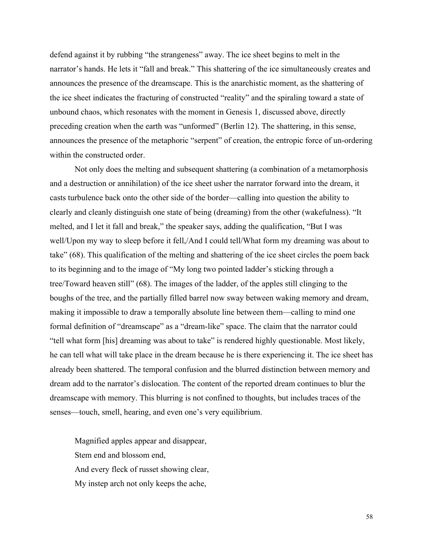defend against it by rubbing "the strangeness" away. The ice sheet begins to melt in the narrator's hands. He lets it "fall and break." This shattering of the ice simultaneously creates and announces the presence of the dreamscape. This is the anarchistic moment, as the shattering of the ice sheet indicates the fracturing of constructed "reality" and the spiraling toward a state of unbound chaos, which resonates with the moment in Genesis 1, discussed above, directly preceding creation when the earth was "unformed" (Berlin 12). The shattering, in this sense, announces the presence of the metaphoric "serpent" of creation, the entropic force of un-ordering within the constructed order.

Not only does the melting and subsequent shattering (a combination of a metamorphosis and a destruction or annihilation) of the ice sheet usher the narrator forward into the dream, it casts turbulence back onto the other side of the border—calling into question the ability to clearly and cleanly distinguish one state of being (dreaming) from the other (wakefulness). "It melted, and I let it fall and break," the speaker says, adding the qualification, "But I was well/Upon my way to sleep before it fell,/And I could tell/What form my dreaming was about to take" (68). This qualification of the melting and shattering of the ice sheet circles the poem back to its beginning and to the image of "My long two pointed ladder's sticking through a tree/Toward heaven still" (68). The images of the ladder, of the apples still clinging to the boughs of the tree, and the partially filled barrel now sway between waking memory and dream, making it impossible to draw a temporally absolute line between them—calling to mind one formal definition of "dreamscape" as a "dream-like" space. The claim that the narrator could "tell what form [his] dreaming was about to take" is rendered highly questionable. Most likely, he can tell what will take place in the dream because he is there experiencing it. The ice sheet has already been shattered. The temporal confusion and the blurred distinction between memory and dream add to the narrator's dislocation. The content of the reported dream continues to blur the dreamscape with memory. This blurring is not confined to thoughts, but includes traces of the senses—touch, smell, hearing, and even one's very equilibrium.

Magnified apples appear and disappear, Stem end and blossom end, And every fleck of russet showing clear, My instep arch not only keeps the ache,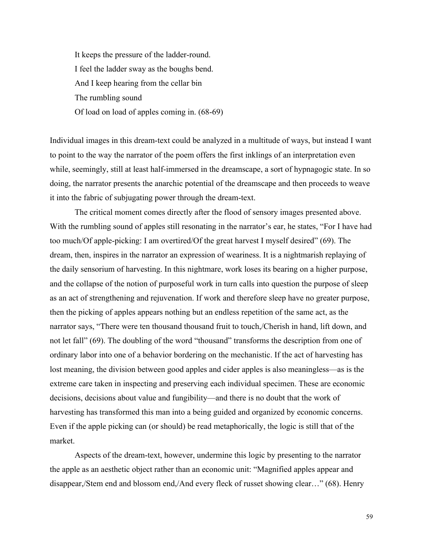It keeps the pressure of the ladder-round. I feel the ladder sway as the boughs bend. And I keep hearing from the cellar bin The rumbling sound Of load on load of apples coming in. (68-69)

Individual images in this dream-text could be analyzed in a multitude of ways, but instead I want to point to the way the narrator of the poem offers the first inklings of an interpretation even while, seemingly, still at least half-immersed in the dreamscape, a sort of hypnagogic state. In so doing, the narrator presents the anarchic potential of the dreamscape and then proceeds to weave it into the fabric of subjugating power through the dream-text.

The critical moment comes directly after the flood of sensory images presented above. With the rumbling sound of apples still resonating in the narrator's ear, he states, "For I have had too much/Of apple-picking: I am overtired/Of the great harvest I myself desired" (69). The dream, then, inspires in the narrator an expression of weariness. It is a nightmarish replaying of the daily sensorium of harvesting. In this nightmare, work loses its bearing on a higher purpose, and the collapse of the notion of purposeful work in turn calls into question the purpose of sleep as an act of strengthening and rejuvenation. If work and therefore sleep have no greater purpose, then the picking of apples appears nothing but an endless repetition of the same act, as the narrator says, "There were ten thousand thousand fruit to touch,/Cherish in hand, lift down, and not let fall" (69). The doubling of the word "thousand" transforms the description from one of ordinary labor into one of a behavior bordering on the mechanistic. If the act of harvesting has lost meaning, the division between good apples and cider apples is also meaningless—as is the extreme care taken in inspecting and preserving each individual specimen. These are economic decisions, decisions about value and fungibility—and there is no doubt that the work of harvesting has transformed this man into a being guided and organized by economic concerns. Even if the apple picking can (or should) be read metaphorically, the logic is still that of the market.

Aspects of the dream-text, however, undermine this logic by presenting to the narrator the apple as an aesthetic object rather than an economic unit: "Magnified apples appear and disappear,/Stem end and blossom end,/And every fleck of russet showing clear…" (68). Henry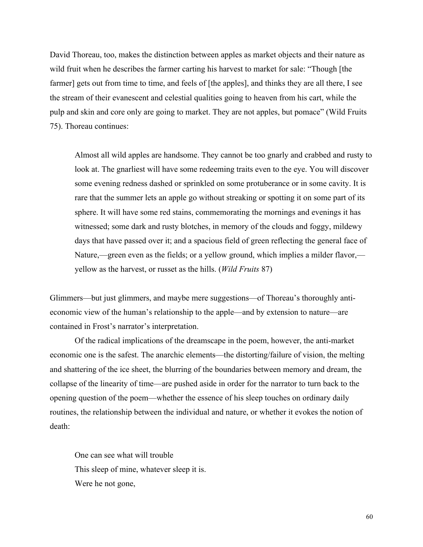David Thoreau, too, makes the distinction between apples as market objects and their nature as wild fruit when he describes the farmer carting his harvest to market for sale: "Though [the farmer] gets out from time to time, and feels of [the apples], and thinks they are all there, I see the stream of their evanescent and celestial qualities going to heaven from his cart, while the pulp and skin and core only are going to market. They are not apples, but pomace" (Wild Fruits 75). Thoreau continues:

Almost all wild apples are handsome. They cannot be too gnarly and crabbed and rusty to look at. The gnarliest will have some redeeming traits even to the eye. You will discover some evening redness dashed or sprinkled on some protuberance or in some cavity. It is rare that the summer lets an apple go without streaking or spotting it on some part of its sphere. It will have some red stains, commemorating the mornings and evenings it has witnessed; some dark and rusty blotches, in memory of the clouds and foggy, mildewy days that have passed over it; and a spacious field of green reflecting the general face of Nature,—green even as the fields; or a yellow ground, which implies a milder flavor, yellow as the harvest, or russet as the hills. (*Wild Fruits* 87)

Glimmers—but just glimmers, and maybe mere suggestions—of Thoreau's thoroughly antieconomic view of the human's relationship to the apple—and by extension to nature—are contained in Frost's narrator's interpretation.

Of the radical implications of the dreamscape in the poem, however, the anti-market economic one is the safest. The anarchic elements—the distorting/failure of vision, the melting and shattering of the ice sheet, the blurring of the boundaries between memory and dream, the collapse of the linearity of time—are pushed aside in order for the narrator to turn back to the opening question of the poem—whether the essence of his sleep touches on ordinary daily routines, the relationship between the individual and nature, or whether it evokes the notion of death:

One can see what will trouble This sleep of mine, whatever sleep it is. Were he not gone,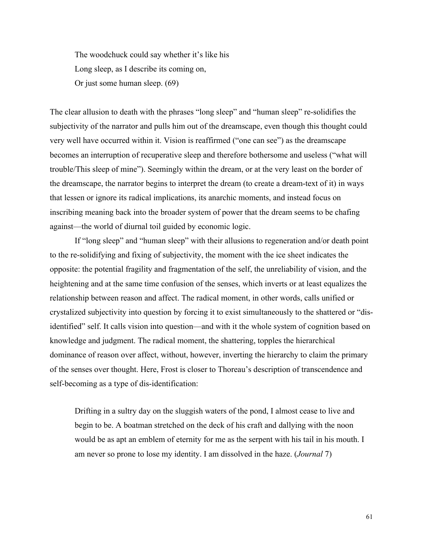The woodchuck could say whether it's like his Long sleep, as I describe its coming on, Or just some human sleep. (69)

The clear allusion to death with the phrases "long sleep" and "human sleep" re-solidifies the subjectivity of the narrator and pulls him out of the dreamscape, even though this thought could very well have occurred within it. Vision is reaffirmed ("one can see") as the dreamscape becomes an interruption of recuperative sleep and therefore bothersome and useless ("what will trouble/This sleep of mine"). Seemingly within the dream, or at the very least on the border of the dreamscape, the narrator begins to interpret the dream (to create a dream-text of it) in ways that lessen or ignore its radical implications, its anarchic moments, and instead focus on inscribing meaning back into the broader system of power that the dream seems to be chafing against—the world of diurnal toil guided by economic logic.

If "long sleep" and "human sleep" with their allusions to regeneration and/or death point to the re-solidifying and fixing of subjectivity, the moment with the ice sheet indicates the opposite: the potential fragility and fragmentation of the self, the unreliability of vision, and the heightening and at the same time confusion of the senses, which inverts or at least equalizes the relationship between reason and affect. The radical moment, in other words, calls unified or crystalized subjectivity into question by forcing it to exist simultaneously to the shattered or "disidentified" self. It calls vision into question—and with it the whole system of cognition based on knowledge and judgment. The radical moment, the shattering, topples the hierarchical dominance of reason over affect, without, however, inverting the hierarchy to claim the primary of the senses over thought. Here, Frost is closer to Thoreau's description of transcendence and self-becoming as a type of dis-identification:

Drifting in a sultry day on the sluggish waters of the pond, I almost cease to live and begin to be. A boatman stretched on the deck of his craft and dallying with the noon would be as apt an emblem of eternity for me as the serpent with his tail in his mouth. I am never so prone to lose my identity. I am dissolved in the haze. (*Journal* 7)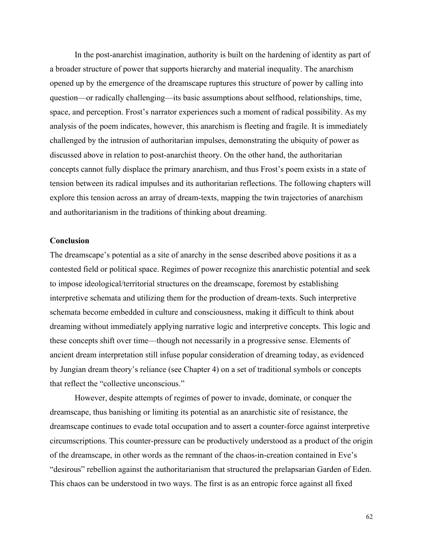In the post-anarchist imagination, authority is built on the hardening of identity as part of a broader structure of power that supports hierarchy and material inequality. The anarchism opened up by the emergence of the dreamscape ruptures this structure of power by calling into question—or radically challenging—its basic assumptions about selfhood, relationships, time, space, and perception. Frost's narrator experiences such a moment of radical possibility. As my analysis of the poem indicates, however, this anarchism is fleeting and fragile. It is immediately challenged by the intrusion of authoritarian impulses, demonstrating the ubiquity of power as discussed above in relation to post-anarchist theory. On the other hand, the authoritarian concepts cannot fully displace the primary anarchism, and thus Frost's poem exists in a state of tension between its radical impulses and its authoritarian reflections. The following chapters will explore this tension across an array of dream-texts, mapping the twin trajectories of anarchism and authoritarianism in the traditions of thinking about dreaming.

#### **Conclusion**

The dreamscape's potential as a site of anarchy in the sense described above positions it as a contested field or political space. Regimes of power recognize this anarchistic potential and seek to impose ideological/territorial structures on the dreamscape, foremost by establishing interpretive schemata and utilizing them for the production of dream-texts. Such interpretive schemata become embedded in culture and consciousness, making it difficult to think about dreaming without immediately applying narrative logic and interpretive concepts. This logic and these concepts shift over time—though not necessarily in a progressive sense. Elements of ancient dream interpretation still infuse popular consideration of dreaming today, as evidenced by Jungian dream theory's reliance (see Chapter 4) on a set of traditional symbols or concepts that reflect the "collective unconscious."

However, despite attempts of regimes of power to invade, dominate, or conquer the dreamscape, thus banishing or limiting its potential as an anarchistic site of resistance, the dreamscape continues to evade total occupation and to assert a counter-force against interpretive circumscriptions. This counter-pressure can be productively understood as a product of the origin of the dreamscape, in other words as the remnant of the chaos-in-creation contained in Eve's "desirous" rebellion against the authoritarianism that structured the prelapsarian Garden of Eden. This chaos can be understood in two ways. The first is as an entropic force against all fixed